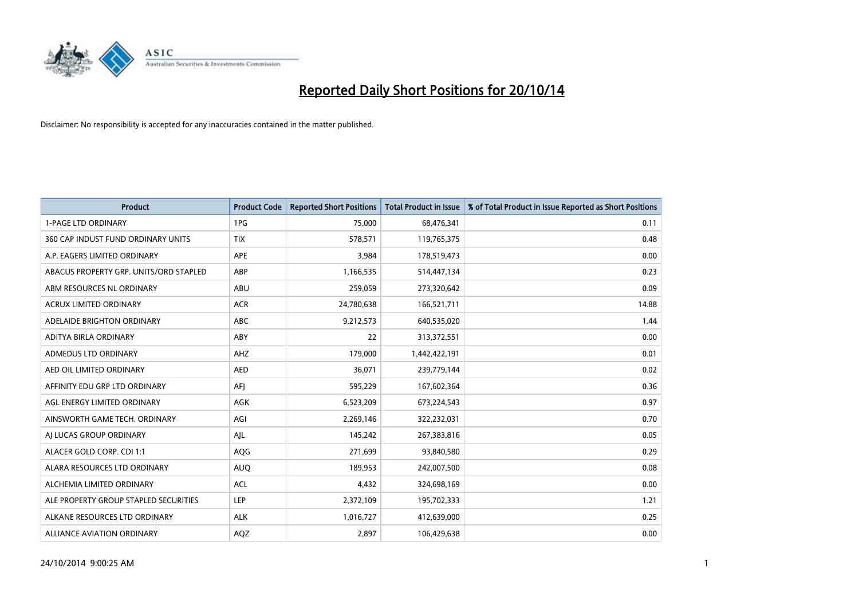

| <b>Product</b>                         | <b>Product Code</b> | <b>Reported Short Positions</b> | <b>Total Product in Issue</b> | % of Total Product in Issue Reported as Short Positions |
|----------------------------------------|---------------------|---------------------------------|-------------------------------|---------------------------------------------------------|
| <b>1-PAGE LTD ORDINARY</b>             | 1PG                 | 75,000                          | 68,476,341                    | 0.11                                                    |
| 360 CAP INDUST FUND ORDINARY UNITS     | <b>TIX</b>          | 578,571                         | 119,765,375                   | 0.48                                                    |
| A.P. EAGERS LIMITED ORDINARY           | <b>APE</b>          | 3,984                           | 178,519,473                   | 0.00                                                    |
| ABACUS PROPERTY GRP. UNITS/ORD STAPLED | ABP                 | 1,166,535                       | 514,447,134                   | 0.23                                                    |
| ABM RESOURCES NL ORDINARY              | ABU                 | 259,059                         | 273,320,642                   | 0.09                                                    |
| <b>ACRUX LIMITED ORDINARY</b>          | <b>ACR</b>          | 24,780,638                      | 166,521,711                   | 14.88                                                   |
| ADELAIDE BRIGHTON ORDINARY             | ABC                 | 9,212,573                       | 640,535,020                   | 1.44                                                    |
| ADITYA BIRLA ORDINARY                  | ABY                 | 22                              | 313,372,551                   | 0.00                                                    |
| ADMEDUS LTD ORDINARY                   | AHZ                 | 179,000                         | 1,442,422,191                 | 0.01                                                    |
| AED OIL LIMITED ORDINARY               | <b>AED</b>          | 36,071                          | 239,779,144                   | 0.02                                                    |
| AFFINITY EDU GRP LTD ORDINARY          | AFI                 | 595,229                         | 167,602,364                   | 0.36                                                    |
| AGL ENERGY LIMITED ORDINARY            | AGK                 | 6,523,209                       | 673,224,543                   | 0.97                                                    |
| AINSWORTH GAME TECH. ORDINARY          | AGI                 | 2,269,146                       | 322,232,031                   | 0.70                                                    |
| AI LUCAS GROUP ORDINARY                | AJL                 | 145,242                         | 267,383,816                   | 0.05                                                    |
| ALACER GOLD CORP. CDI 1:1              | AQG                 | 271,699                         | 93,840,580                    | 0.29                                                    |
| ALARA RESOURCES LTD ORDINARY           | <b>AUQ</b>          | 189,953                         | 242,007,500                   | 0.08                                                    |
| ALCHEMIA LIMITED ORDINARY              | <b>ACL</b>          | 4,432                           | 324,698,169                   | 0.00                                                    |
| ALE PROPERTY GROUP STAPLED SECURITIES  | LEP                 | 2,372,109                       | 195,702,333                   | 1.21                                                    |
| ALKANE RESOURCES LTD ORDINARY          | <b>ALK</b>          | 1,016,727                       | 412,639,000                   | 0.25                                                    |
| ALLIANCE AVIATION ORDINARY             | <b>AQZ</b>          | 2,897                           | 106,429,638                   | 0.00                                                    |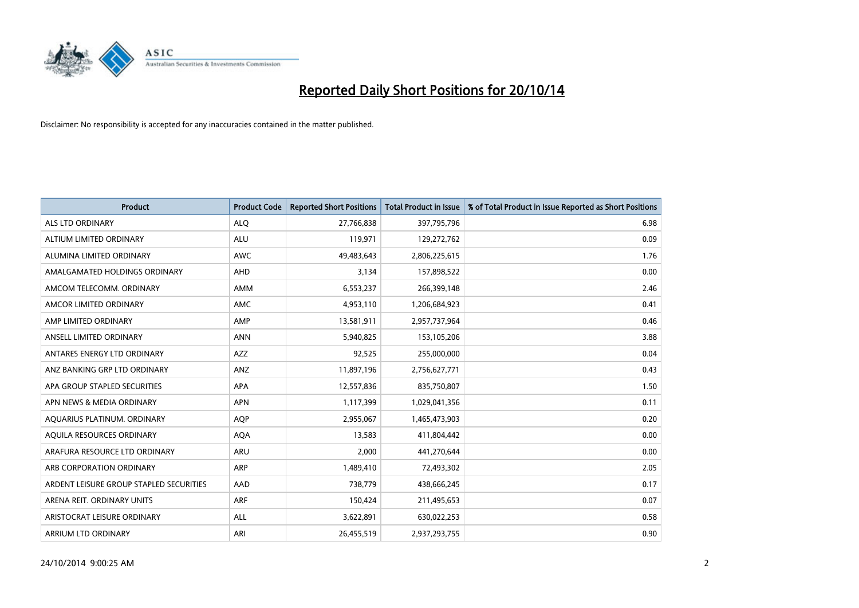

| <b>Product</b>                          | <b>Product Code</b> | <b>Reported Short Positions</b> | <b>Total Product in Issue</b> | % of Total Product in Issue Reported as Short Positions |
|-----------------------------------------|---------------------|---------------------------------|-------------------------------|---------------------------------------------------------|
| <b>ALS LTD ORDINARY</b>                 | <b>ALQ</b>          | 27,766,838                      | 397,795,796                   | 6.98                                                    |
| ALTIUM LIMITED ORDINARY                 | <b>ALU</b>          | 119,971                         | 129,272,762                   | 0.09                                                    |
| ALUMINA LIMITED ORDINARY                | <b>AWC</b>          | 49,483,643                      | 2,806,225,615                 | 1.76                                                    |
| AMALGAMATED HOLDINGS ORDINARY           | <b>AHD</b>          | 3,134                           | 157,898,522                   | 0.00                                                    |
| AMCOM TELECOMM, ORDINARY                | <b>AMM</b>          | 6,553,237                       | 266,399,148                   | 2.46                                                    |
| AMCOR LIMITED ORDINARY                  | <b>AMC</b>          | 4,953,110                       | 1,206,684,923                 | 0.41                                                    |
| AMP LIMITED ORDINARY                    | AMP                 | 13,581,911                      | 2,957,737,964                 | 0.46                                                    |
| ANSELL LIMITED ORDINARY                 | <b>ANN</b>          | 5,940,825                       | 153,105,206                   | 3.88                                                    |
| ANTARES ENERGY LTD ORDINARY             | <b>AZZ</b>          | 92,525                          | 255,000,000                   | 0.04                                                    |
| ANZ BANKING GRP LTD ORDINARY            | ANZ                 | 11,897,196                      | 2,756,627,771                 | 0.43                                                    |
| APA GROUP STAPLED SECURITIES            | APA                 | 12,557,836                      | 835,750,807                   | 1.50                                                    |
| APN NEWS & MEDIA ORDINARY               | <b>APN</b>          | 1,117,399                       | 1,029,041,356                 | 0.11                                                    |
| AQUARIUS PLATINUM. ORDINARY             | <b>AOP</b>          | 2,955,067                       | 1,465,473,903                 | 0.20                                                    |
| AQUILA RESOURCES ORDINARY               | <b>AQA</b>          | 13,583                          | 411,804,442                   | 0.00                                                    |
| ARAFURA RESOURCE LTD ORDINARY           | <b>ARU</b>          | 2,000                           | 441,270,644                   | 0.00                                                    |
| ARB CORPORATION ORDINARY                | ARP                 | 1,489,410                       | 72,493,302                    | 2.05                                                    |
| ARDENT LEISURE GROUP STAPLED SECURITIES | AAD                 | 738,779                         | 438,666,245                   | 0.17                                                    |
| ARENA REIT. ORDINARY UNITS              | <b>ARF</b>          | 150,424                         | 211,495,653                   | 0.07                                                    |
| ARISTOCRAT LEISURE ORDINARY             | <b>ALL</b>          | 3,622,891                       | 630,022,253                   | 0.58                                                    |
| ARRIUM LTD ORDINARY                     | ARI                 | 26,455,519                      | 2,937,293,755                 | 0.90                                                    |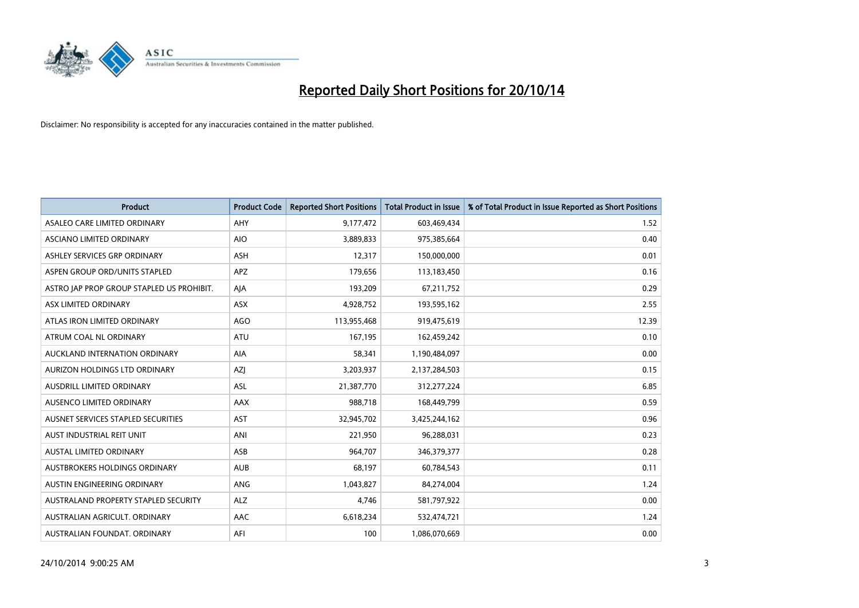

| <b>Product</b>                            | <b>Product Code</b> | <b>Reported Short Positions</b> | <b>Total Product in Issue</b> | % of Total Product in Issue Reported as Short Positions |
|-------------------------------------------|---------------------|---------------------------------|-------------------------------|---------------------------------------------------------|
| ASALEO CARE LIMITED ORDINARY              | AHY                 | 9,177,472                       | 603,469,434                   | 1.52                                                    |
| ASCIANO LIMITED ORDINARY                  | <b>AIO</b>          | 3,889,833                       | 975,385,664                   | 0.40                                                    |
| ASHLEY SERVICES GRP ORDINARY              | <b>ASH</b>          | 12,317                          | 150,000,000                   | 0.01                                                    |
| ASPEN GROUP ORD/UNITS STAPLED             | APZ                 | 179,656                         | 113,183,450                   | 0.16                                                    |
| ASTRO JAP PROP GROUP STAPLED US PROHIBIT. | AJA                 | 193,209                         | 67,211,752                    | 0.29                                                    |
| ASX LIMITED ORDINARY                      | ASX                 | 4,928,752                       | 193,595,162                   | 2.55                                                    |
| ATLAS IRON LIMITED ORDINARY               | <b>AGO</b>          | 113,955,468                     | 919,475,619                   | 12.39                                                   |
| ATRUM COAL NL ORDINARY                    | ATU                 | 167,195                         | 162,459,242                   | 0.10                                                    |
| AUCKLAND INTERNATION ORDINARY             | <b>AIA</b>          | 58,341                          | 1,190,484,097                 | 0.00                                                    |
| AURIZON HOLDINGS LTD ORDINARY             | AZI                 | 3,203,937                       | 2,137,284,503                 | 0.15                                                    |
| AUSDRILL LIMITED ORDINARY                 | ASL                 | 21,387,770                      | 312,277,224                   | 6.85                                                    |
| AUSENCO LIMITED ORDINARY                  | AAX                 | 988,718                         | 168,449,799                   | 0.59                                                    |
| AUSNET SERVICES STAPLED SECURITIES        | <b>AST</b>          | 32,945,702                      | 3,425,244,162                 | 0.96                                                    |
| AUST INDUSTRIAL REIT UNIT                 | ANI                 | 221,950                         | 96,288,031                    | 0.23                                                    |
| <b>AUSTAL LIMITED ORDINARY</b>            | ASB                 | 964,707                         | 346,379,377                   | 0.28                                                    |
| AUSTBROKERS HOLDINGS ORDINARY             | <b>AUB</b>          | 68,197                          | 60,784,543                    | 0.11                                                    |
| AUSTIN ENGINEERING ORDINARY               | ANG                 | 1,043,827                       | 84,274,004                    | 1.24                                                    |
| AUSTRALAND PROPERTY STAPLED SECURITY      | <b>ALZ</b>          | 4,746                           | 581,797,922                   | 0.00                                                    |
| AUSTRALIAN AGRICULT, ORDINARY             | AAC                 | 6,618,234                       | 532,474,721                   | 1.24                                                    |
| AUSTRALIAN FOUNDAT. ORDINARY              | AFI                 | 100                             | 1,086,070,669                 | 0.00                                                    |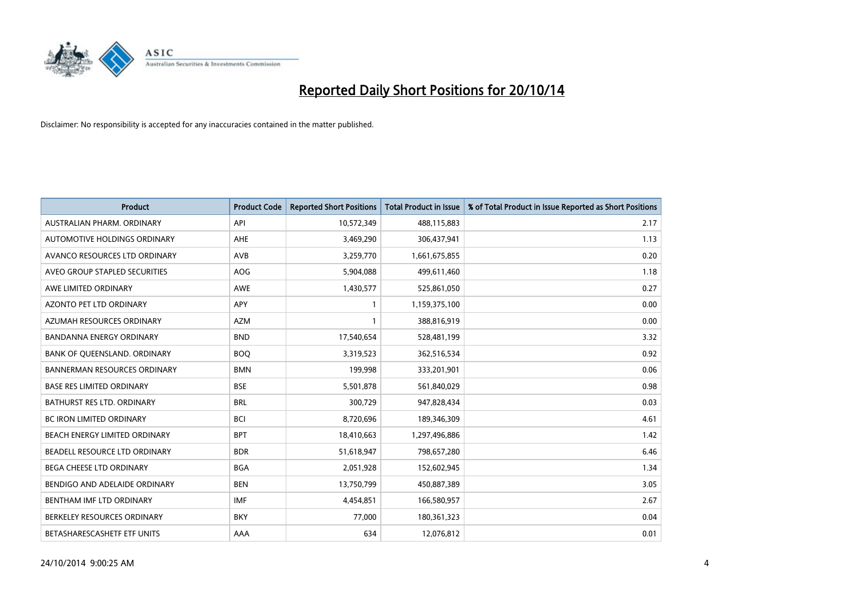

| <b>Product</b>                      | <b>Product Code</b> | <b>Reported Short Positions</b> | <b>Total Product in Issue</b> | % of Total Product in Issue Reported as Short Positions |
|-------------------------------------|---------------------|---------------------------------|-------------------------------|---------------------------------------------------------|
| AUSTRALIAN PHARM, ORDINARY          | API                 | 10,572,349                      | 488,115,883                   | 2.17                                                    |
| AUTOMOTIVE HOLDINGS ORDINARY        | AHE                 | 3,469,290                       | 306,437,941                   | 1.13                                                    |
| AVANCO RESOURCES LTD ORDINARY       | AVB                 | 3,259,770                       | 1,661,675,855                 | 0.20                                                    |
| AVEO GROUP STAPLED SECURITIES       | <b>AOG</b>          | 5,904,088                       | 499,611,460                   | 1.18                                                    |
| AWE LIMITED ORDINARY                | AWE                 | 1,430,577                       | 525,861,050                   | 0.27                                                    |
| <b>AZONTO PET LTD ORDINARY</b>      | APY                 | 1                               | 1,159,375,100                 | 0.00                                                    |
| AZUMAH RESOURCES ORDINARY           | <b>AZM</b>          | 1                               | 388,816,919                   | 0.00                                                    |
| <b>BANDANNA ENERGY ORDINARY</b>     | <b>BND</b>          | 17,540,654                      | 528,481,199                   | 3.32                                                    |
| BANK OF QUEENSLAND. ORDINARY        | <b>BOQ</b>          | 3,319,523                       | 362,516,534                   | 0.92                                                    |
| <b>BANNERMAN RESOURCES ORDINARY</b> | <b>BMN</b>          | 199,998                         | 333,201,901                   | 0.06                                                    |
| <b>BASE RES LIMITED ORDINARY</b>    | <b>BSE</b>          | 5,501,878                       | 561,840,029                   | 0.98                                                    |
| <b>BATHURST RES LTD. ORDINARY</b>   | <b>BRL</b>          | 300,729                         | 947,828,434                   | 0.03                                                    |
| BC IRON LIMITED ORDINARY            | <b>BCI</b>          | 8,720,696                       | 189,346,309                   | 4.61                                                    |
| BEACH ENERGY LIMITED ORDINARY       | <b>BPT</b>          | 18,410,663                      | 1,297,496,886                 | 1.42                                                    |
| BEADELL RESOURCE LTD ORDINARY       | <b>BDR</b>          | 51,618,947                      | 798,657,280                   | 6.46                                                    |
| <b>BEGA CHEESE LTD ORDINARY</b>     | <b>BGA</b>          | 2,051,928                       | 152,602,945                   | 1.34                                                    |
| BENDIGO AND ADELAIDE ORDINARY       | <b>BEN</b>          | 13,750,799                      | 450,887,389                   | 3.05                                                    |
| BENTHAM IMF LTD ORDINARY            | <b>IMF</b>          | 4,454,851                       | 166,580,957                   | 2.67                                                    |
| BERKELEY RESOURCES ORDINARY         | <b>BKY</b>          | 77,000                          | 180,361,323                   | 0.04                                                    |
| BETASHARESCASHETF ETF UNITS         | AAA                 | 634                             | 12,076,812                    | 0.01                                                    |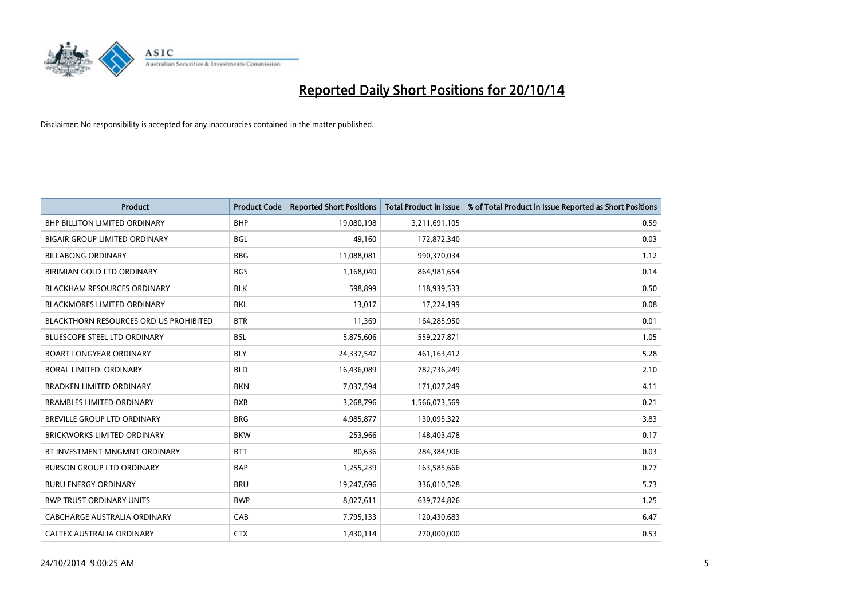

| <b>Product</b>                                | <b>Product Code</b> | <b>Reported Short Positions</b> | <b>Total Product in Issue</b> | % of Total Product in Issue Reported as Short Positions |
|-----------------------------------------------|---------------------|---------------------------------|-------------------------------|---------------------------------------------------------|
| <b>BHP BILLITON LIMITED ORDINARY</b>          | <b>BHP</b>          | 19,080,198                      | 3,211,691,105                 | 0.59                                                    |
| BIGAIR GROUP LIMITED ORDINARY                 | <b>BGL</b>          | 49,160                          | 172,872,340                   | 0.03                                                    |
| <b>BILLABONG ORDINARY</b>                     | <b>BBG</b>          | 11,088,081                      | 990,370,034                   | 1.12                                                    |
| BIRIMIAN GOLD LTD ORDINARY                    | <b>BGS</b>          | 1,168,040                       | 864,981,654                   | 0.14                                                    |
| <b>BLACKHAM RESOURCES ORDINARY</b>            | <b>BLK</b>          | 598,899                         | 118,939,533                   | 0.50                                                    |
| <b>BLACKMORES LIMITED ORDINARY</b>            | <b>BKL</b>          | 13,017                          | 17,224,199                    | 0.08                                                    |
| <b>BLACKTHORN RESOURCES ORD US PROHIBITED</b> | <b>BTR</b>          | 11,369                          | 164,285,950                   | 0.01                                                    |
| <b>BLUESCOPE STEEL LTD ORDINARY</b>           | <b>BSL</b>          | 5,875,606                       | 559,227,871                   | 1.05                                                    |
| <b>BOART LONGYEAR ORDINARY</b>                | <b>BLY</b>          | 24,337,547                      | 461,163,412                   | 5.28                                                    |
| <b>BORAL LIMITED, ORDINARY</b>                | <b>BLD</b>          | 16,436,089                      | 782,736,249                   | 2.10                                                    |
| <b>BRADKEN LIMITED ORDINARY</b>               | <b>BKN</b>          | 7,037,594                       | 171,027,249                   | 4.11                                                    |
| <b>BRAMBLES LIMITED ORDINARY</b>              | <b>BXB</b>          | 3,268,796                       | 1,566,073,569                 | 0.21                                                    |
| <b>BREVILLE GROUP LTD ORDINARY</b>            | <b>BRG</b>          | 4,985,877                       | 130,095,322                   | 3.83                                                    |
| <b>BRICKWORKS LIMITED ORDINARY</b>            | <b>BKW</b>          | 253,966                         | 148,403,478                   | 0.17                                                    |
| BT INVESTMENT MNGMNT ORDINARY                 | <b>BTT</b>          | 80,636                          | 284,384,906                   | 0.03                                                    |
| <b>BURSON GROUP LTD ORDINARY</b>              | <b>BAP</b>          | 1,255,239                       | 163,585,666                   | 0.77                                                    |
| <b>BURU ENERGY ORDINARY</b>                   | <b>BRU</b>          | 19,247,696                      | 336,010,528                   | 5.73                                                    |
| <b>BWP TRUST ORDINARY UNITS</b>               | <b>BWP</b>          | 8,027,611                       | 639,724,826                   | 1.25                                                    |
| CABCHARGE AUSTRALIA ORDINARY                  | CAB                 | 7,795,133                       | 120,430,683                   | 6.47                                                    |
| CALTEX AUSTRALIA ORDINARY                     | <b>CTX</b>          | 1,430,114                       | 270,000,000                   | 0.53                                                    |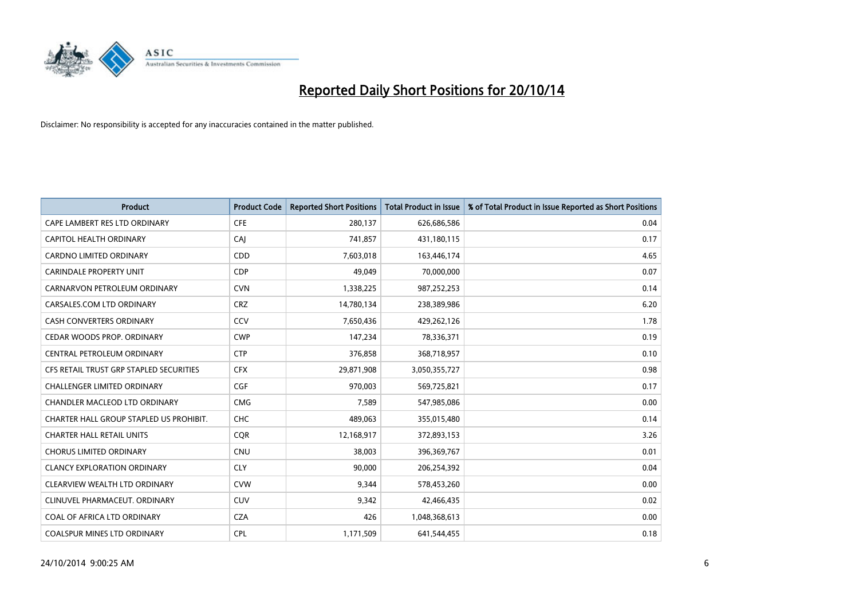

| <b>Product</b>                          | <b>Product Code</b> | <b>Reported Short Positions</b> | <b>Total Product in Issue</b> | % of Total Product in Issue Reported as Short Positions |
|-----------------------------------------|---------------------|---------------------------------|-------------------------------|---------------------------------------------------------|
| CAPE LAMBERT RES LTD ORDINARY           | <b>CFE</b>          | 280,137                         | 626,686,586                   | 0.04                                                    |
| CAPITOL HEALTH ORDINARY                 | CAI                 | 741,857                         | 431,180,115                   | 0.17                                                    |
| <b>CARDNO LIMITED ORDINARY</b>          | <b>CDD</b>          | 7,603,018                       | 163,446,174                   | 4.65                                                    |
| <b>CARINDALE PROPERTY UNIT</b>          | <b>CDP</b>          | 49,049                          | 70,000,000                    | 0.07                                                    |
| CARNARVON PETROLEUM ORDINARY            | <b>CVN</b>          | 1,338,225                       | 987,252,253                   | 0.14                                                    |
| CARSALES.COM LTD ORDINARY               | <b>CRZ</b>          | 14,780,134                      | 238,389,986                   | 6.20                                                    |
| <b>CASH CONVERTERS ORDINARY</b>         | CCV                 | 7,650,436                       | 429,262,126                   | 1.78                                                    |
| CEDAR WOODS PROP. ORDINARY              | <b>CWP</b>          | 147,234                         | 78,336,371                    | 0.19                                                    |
| CENTRAL PETROLEUM ORDINARY              | <b>CTP</b>          | 376,858                         | 368,718,957                   | 0.10                                                    |
| CFS RETAIL TRUST GRP STAPLED SECURITIES | <b>CFX</b>          | 29,871,908                      | 3,050,355,727                 | 0.98                                                    |
| CHALLENGER LIMITED ORDINARY             | <b>CGF</b>          | 970,003                         | 569,725,821                   | 0.17                                                    |
| CHANDLER MACLEOD LTD ORDINARY           | <b>CMG</b>          | 7,589                           | 547,985,086                   | 0.00                                                    |
| CHARTER HALL GROUP STAPLED US PROHIBIT. | <b>CHC</b>          | 489,063                         | 355,015,480                   | 0.14                                                    |
| <b>CHARTER HALL RETAIL UNITS</b>        | <b>COR</b>          | 12,168,917                      | 372,893,153                   | 3.26                                                    |
| <b>CHORUS LIMITED ORDINARY</b>          | <b>CNU</b>          | 38,003                          | 396,369,767                   | 0.01                                                    |
| <b>CLANCY EXPLORATION ORDINARY</b>      | <b>CLY</b>          | 90,000                          | 206,254,392                   | 0.04                                                    |
| CLEARVIEW WEALTH LTD ORDINARY           | <b>CVW</b>          | 9,344                           | 578,453,260                   | 0.00                                                    |
| CLINUVEL PHARMACEUT. ORDINARY           | <b>CUV</b>          | 9,342                           | 42,466,435                    | 0.02                                                    |
| COAL OF AFRICA LTD ORDINARY             | <b>CZA</b>          | 426                             | 1,048,368,613                 | 0.00                                                    |
| COALSPUR MINES LTD ORDINARY             | <b>CPL</b>          | 1,171,509                       | 641,544,455                   | 0.18                                                    |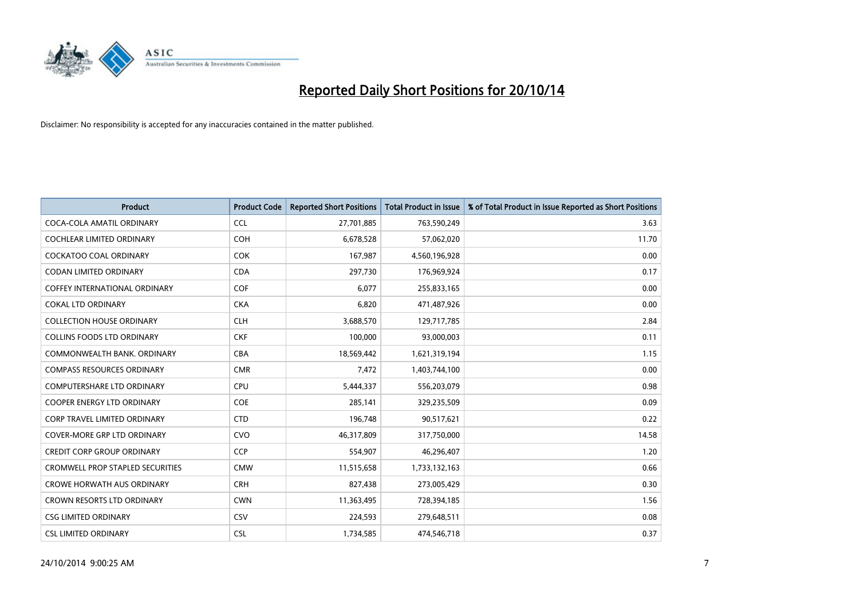

| <b>Product</b>                          | <b>Product Code</b> | <b>Reported Short Positions</b> | <b>Total Product in Issue</b> | % of Total Product in Issue Reported as Short Positions |
|-----------------------------------------|---------------------|---------------------------------|-------------------------------|---------------------------------------------------------|
| COCA-COLA AMATIL ORDINARY               | <b>CCL</b>          | 27,701,885                      | 763,590,249                   | 3.63                                                    |
| COCHLEAR LIMITED ORDINARY               | <b>COH</b>          | 6,678,528                       | 57,062,020                    | 11.70                                                   |
| COCKATOO COAL ORDINARY                  | <b>COK</b>          | 167,987                         | 4,560,196,928                 | 0.00                                                    |
| <b>CODAN LIMITED ORDINARY</b>           | <b>CDA</b>          | 297,730                         | 176,969,924                   | 0.17                                                    |
| COFFEY INTERNATIONAL ORDINARY           | <b>COF</b>          | 6,077                           | 255,833,165                   | 0.00                                                    |
| <b>COKAL LTD ORDINARY</b>               | <b>CKA</b>          | 6,820                           | 471,487,926                   | 0.00                                                    |
| <b>COLLECTION HOUSE ORDINARY</b>        | <b>CLH</b>          | 3,688,570                       | 129,717,785                   | 2.84                                                    |
| <b>COLLINS FOODS LTD ORDINARY</b>       | <b>CKF</b>          | 100,000                         | 93,000,003                    | 0.11                                                    |
| COMMONWEALTH BANK, ORDINARY             | <b>CBA</b>          | 18,569,442                      | 1,621,319,194                 | 1.15                                                    |
| <b>COMPASS RESOURCES ORDINARY</b>       | <b>CMR</b>          | 7,472                           | 1,403,744,100                 | 0.00                                                    |
| COMPUTERSHARE LTD ORDINARY              | <b>CPU</b>          | 5,444,337                       | 556,203,079                   | 0.98                                                    |
| COOPER ENERGY LTD ORDINARY              | <b>COE</b>          | 285,141                         | 329,235,509                   | 0.09                                                    |
| CORP TRAVEL LIMITED ORDINARY            | <b>CTD</b>          | 196,748                         | 90,517,621                    | 0.22                                                    |
| <b>COVER-MORE GRP LTD ORDINARY</b>      | <b>CVO</b>          | 46,317,809                      | 317,750,000                   | 14.58                                                   |
| <b>CREDIT CORP GROUP ORDINARY</b>       | <b>CCP</b>          | 554,907                         | 46,296,407                    | 1.20                                                    |
| <b>CROMWELL PROP STAPLED SECURITIES</b> | <b>CMW</b>          | 11,515,658                      | 1,733,132,163                 | 0.66                                                    |
| <b>CROWE HORWATH AUS ORDINARY</b>       | <b>CRH</b>          | 827,438                         | 273,005,429                   | 0.30                                                    |
| CROWN RESORTS LTD ORDINARY              | <b>CWN</b>          | 11,363,495                      | 728,394,185                   | 1.56                                                    |
| <b>CSG LIMITED ORDINARY</b>             | CSV                 | 224,593                         | 279,648,511                   | 0.08                                                    |
| <b>CSL LIMITED ORDINARY</b>             | <b>CSL</b>          | 1,734,585                       | 474,546,718                   | 0.37                                                    |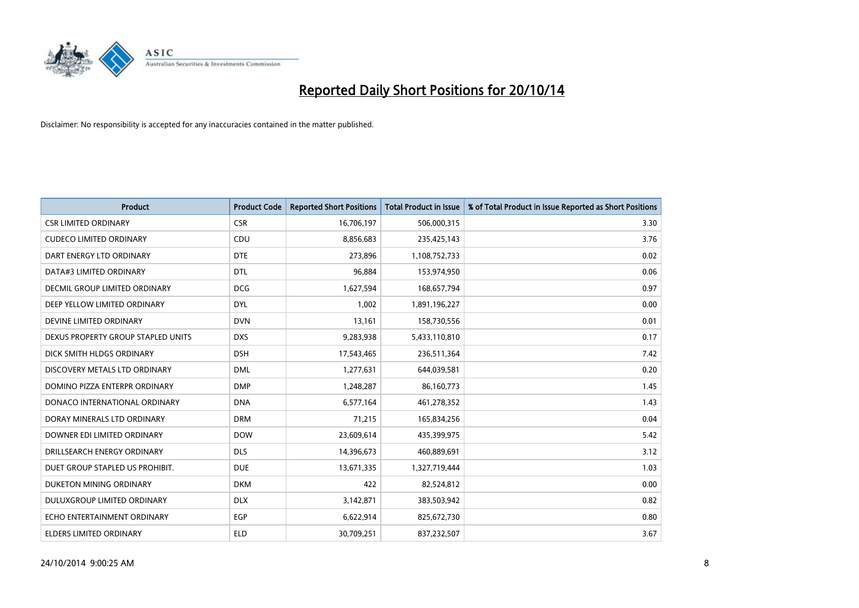

| <b>Product</b>                     | <b>Product Code</b> | <b>Reported Short Positions</b> | <b>Total Product in Issue</b> | % of Total Product in Issue Reported as Short Positions |
|------------------------------------|---------------------|---------------------------------|-------------------------------|---------------------------------------------------------|
| <b>CSR LIMITED ORDINARY</b>        | <b>CSR</b>          | 16,706,197                      | 506,000,315                   | 3.30                                                    |
| <b>CUDECO LIMITED ORDINARY</b>     | CDU                 | 8,856,683                       | 235,425,143                   | 3.76                                                    |
| DART ENERGY LTD ORDINARY           | <b>DTE</b>          | 273,896                         | 1,108,752,733                 | 0.02                                                    |
| DATA#3 LIMITED ORDINARY            | <b>DTL</b>          | 96,884                          | 153,974,950                   | 0.06                                                    |
| DECMIL GROUP LIMITED ORDINARY      | <b>DCG</b>          | 1,627,594                       | 168,657,794                   | 0.97                                                    |
| DEEP YELLOW LIMITED ORDINARY       | <b>DYL</b>          | 1,002                           | 1,891,196,227                 | 0.00                                                    |
| DEVINE LIMITED ORDINARY            | <b>DVN</b>          | 13,161                          | 158,730,556                   | 0.01                                                    |
| DEXUS PROPERTY GROUP STAPLED UNITS | <b>DXS</b>          | 9,283,938                       | 5,433,110,810                 | 0.17                                                    |
| DICK SMITH HLDGS ORDINARY          | <b>DSH</b>          | 17,543,465                      | 236,511,364                   | 7.42                                                    |
| DISCOVERY METALS LTD ORDINARY      | <b>DML</b>          | 1,277,631                       | 644,039,581                   | 0.20                                                    |
| DOMINO PIZZA ENTERPR ORDINARY      | <b>DMP</b>          | 1,248,287                       | 86,160,773                    | 1.45                                                    |
| DONACO INTERNATIONAL ORDINARY      | <b>DNA</b>          | 6,577,164                       | 461,278,352                   | 1.43                                                    |
| DORAY MINERALS LTD ORDINARY        | <b>DRM</b>          | 71,215                          | 165,834,256                   | 0.04                                                    |
| DOWNER EDI LIMITED ORDINARY        | <b>DOW</b>          | 23,609,614                      | 435,399,975                   | 5.42                                                    |
| DRILLSEARCH ENERGY ORDINARY        | <b>DLS</b>          | 14,396,673                      | 460,889,691                   | 3.12                                                    |
| DUET GROUP STAPLED US PROHIBIT.    | <b>DUE</b>          | 13,671,335                      | 1,327,719,444                 | 1.03                                                    |
| DUKETON MINING ORDINARY            | <b>DKM</b>          | 422                             | 82,524,812                    | 0.00                                                    |
| DULUXGROUP LIMITED ORDINARY        | <b>DLX</b>          | 3,142,871                       | 383,503,942                   | 0.82                                                    |
| ECHO ENTERTAINMENT ORDINARY        | <b>EGP</b>          | 6,622,914                       | 825,672,730                   | 0.80                                                    |
| <b>ELDERS LIMITED ORDINARY</b>     | <b>ELD</b>          | 30,709,251                      | 837,232,507                   | 3.67                                                    |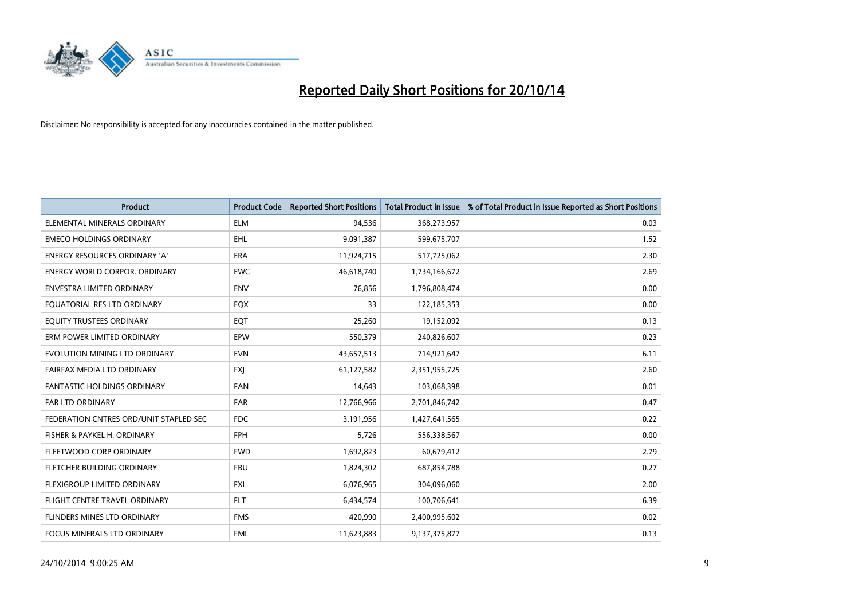

| <b>Product</b>                         | <b>Product Code</b> | <b>Reported Short Positions</b> | <b>Total Product in Issue</b> | % of Total Product in Issue Reported as Short Positions |
|----------------------------------------|---------------------|---------------------------------|-------------------------------|---------------------------------------------------------|
| ELEMENTAL MINERALS ORDINARY            | <b>ELM</b>          | 94,536                          | 368,273,957                   | 0.03                                                    |
| <b>EMECO HOLDINGS ORDINARY</b>         | <b>EHL</b>          | 9,091,387                       | 599,675,707                   | 1.52                                                    |
| <b>ENERGY RESOURCES ORDINARY 'A'</b>   | <b>ERA</b>          | 11,924,715                      | 517,725,062                   | 2.30                                                    |
| ENERGY WORLD CORPOR. ORDINARY          | <b>EWC</b>          | 46,618,740                      | 1,734,166,672                 | 2.69                                                    |
| <b>ENVESTRA LIMITED ORDINARY</b>       | <b>ENV</b>          | 76,856                          | 1,796,808,474                 | 0.00                                                    |
| EQUATORIAL RES LTD ORDINARY            | EQX                 | 33                              | 122,185,353                   | 0.00                                                    |
| EQUITY TRUSTEES ORDINARY               | EQT                 | 25,260                          | 19,152,092                    | 0.13                                                    |
| ERM POWER LIMITED ORDINARY             | EPW                 | 550,379                         | 240,826,607                   | 0.23                                                    |
| EVOLUTION MINING LTD ORDINARY          | <b>EVN</b>          | 43,657,513                      | 714,921,647                   | 6.11                                                    |
| FAIRFAX MEDIA LTD ORDINARY             | <b>FXI</b>          | 61,127,582                      | 2,351,955,725                 | 2.60                                                    |
| <b>FANTASTIC HOLDINGS ORDINARY</b>     | <b>FAN</b>          | 14,643                          | 103,068,398                   | 0.01                                                    |
| <b>FAR LTD ORDINARY</b>                | <b>FAR</b>          | 12,766,966                      | 2,701,846,742                 | 0.47                                                    |
| FEDERATION CNTRES ORD/UNIT STAPLED SEC | <b>FDC</b>          | 3,191,956                       | 1,427,641,565                 | 0.22                                                    |
| FISHER & PAYKEL H. ORDINARY            | <b>FPH</b>          | 5,726                           | 556,338,567                   | 0.00                                                    |
| FLEETWOOD CORP ORDINARY                | <b>FWD</b>          | 1,692,823                       | 60,679,412                    | 2.79                                                    |
| FLETCHER BUILDING ORDINARY             | <b>FBU</b>          | 1,824,302                       | 687,854,788                   | 0.27                                                    |
| FLEXIGROUP LIMITED ORDINARY            | FXL                 | 6,076,965                       | 304,096,060                   | 2.00                                                    |
| FLIGHT CENTRE TRAVEL ORDINARY          | <b>FLT</b>          | 6,434,574                       | 100,706,641                   | 6.39                                                    |
| FLINDERS MINES LTD ORDINARY            | <b>FMS</b>          | 420,990                         | 2,400,995,602                 | 0.02                                                    |
| FOCUS MINERALS LTD ORDINARY            | <b>FML</b>          | 11,623,883                      | 9,137,375,877                 | 0.13                                                    |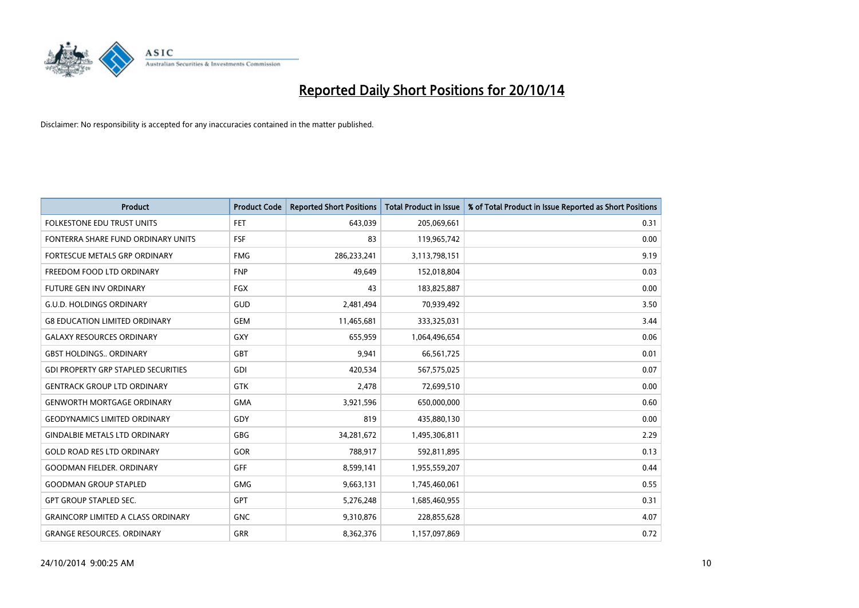

| <b>Product</b>                             | <b>Product Code</b> | <b>Reported Short Positions</b> | <b>Total Product in Issue</b> | % of Total Product in Issue Reported as Short Positions |
|--------------------------------------------|---------------------|---------------------------------|-------------------------------|---------------------------------------------------------|
| <b>FOLKESTONE EDU TRUST UNITS</b>          | <b>FET</b>          | 643,039                         | 205,069,661                   | 0.31                                                    |
| FONTERRA SHARE FUND ORDINARY UNITS         | FSF                 | 83                              | 119,965,742                   | 0.00                                                    |
| <b>FORTESCUE METALS GRP ORDINARY</b>       | <b>FMG</b>          | 286,233,241                     | 3,113,798,151                 | 9.19                                                    |
| FREEDOM FOOD LTD ORDINARY                  | <b>FNP</b>          | 49.649                          | 152,018,804                   | 0.03                                                    |
| <b>FUTURE GEN INV ORDINARY</b>             | <b>FGX</b>          | 43                              | 183,825,887                   | 0.00                                                    |
| <b>G.U.D. HOLDINGS ORDINARY</b>            | GUD                 | 2,481,494                       | 70,939,492                    | 3.50                                                    |
| <b>G8 EDUCATION LIMITED ORDINARY</b>       | <b>GEM</b>          | 11,465,681                      | 333,325,031                   | 3.44                                                    |
| <b>GALAXY RESOURCES ORDINARY</b>           | <b>GXY</b>          | 655,959                         | 1,064,496,654                 | 0.06                                                    |
| <b>GBST HOLDINGS., ORDINARY</b>            | <b>GBT</b>          | 9,941                           | 66,561,725                    | 0.01                                                    |
| <b>GDI PROPERTY GRP STAPLED SECURITIES</b> | GDI                 | 420,534                         | 567,575,025                   | 0.07                                                    |
| <b>GENTRACK GROUP LTD ORDINARY</b>         | <b>GTK</b>          | 2,478                           | 72,699,510                    | 0.00                                                    |
| <b>GENWORTH MORTGAGE ORDINARY</b>          | <b>GMA</b>          | 3,921,596                       | 650,000,000                   | 0.60                                                    |
| <b>GEODYNAMICS LIMITED ORDINARY</b>        | GDY                 | 819                             | 435,880,130                   | 0.00                                                    |
| <b>GINDALBIE METALS LTD ORDINARY</b>       | GBG                 | 34,281,672                      | 1,495,306,811                 | 2.29                                                    |
| <b>GOLD ROAD RES LTD ORDINARY</b>          | GOR                 | 788,917                         | 592,811,895                   | 0.13                                                    |
| <b>GOODMAN FIELDER, ORDINARY</b>           | <b>GFF</b>          | 8,599,141                       | 1,955,559,207                 | 0.44                                                    |
| <b>GOODMAN GROUP STAPLED</b>               | <b>GMG</b>          | 9,663,131                       | 1,745,460,061                 | 0.55                                                    |
| <b>GPT GROUP STAPLED SEC.</b>              | GPT                 | 5,276,248                       | 1,685,460,955                 | 0.31                                                    |
| <b>GRAINCORP LIMITED A CLASS ORDINARY</b>  | <b>GNC</b>          | 9,310,876                       | 228,855,628                   | 4.07                                                    |
| <b>GRANGE RESOURCES, ORDINARY</b>          | <b>GRR</b>          | 8,362,376                       | 1,157,097,869                 | 0.72                                                    |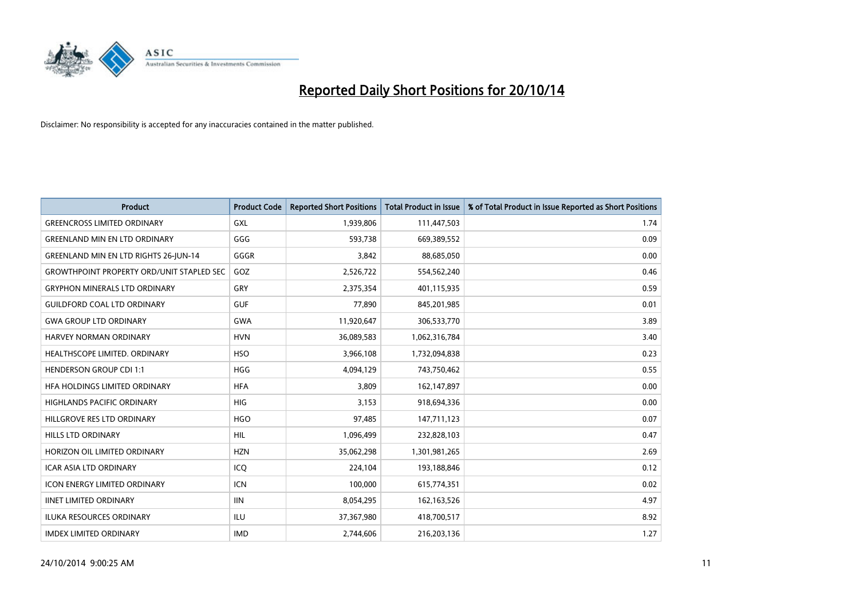

| <b>Product</b>                                   | <b>Product Code</b> | <b>Reported Short Positions</b> | <b>Total Product in Issue</b> | % of Total Product in Issue Reported as Short Positions |
|--------------------------------------------------|---------------------|---------------------------------|-------------------------------|---------------------------------------------------------|
| <b>GREENCROSS LIMITED ORDINARY</b>               | <b>GXL</b>          | 1,939,806                       | 111,447,503                   | 1.74                                                    |
| <b>GREENLAND MIN EN LTD ORDINARY</b>             | GGG                 | 593,738                         | 669,389,552                   | 0.09                                                    |
| <b>GREENLAND MIN EN LTD RIGHTS 26-JUN-14</b>     | GGGR                | 3,842                           | 88,685,050                    | 0.00                                                    |
| <b>GROWTHPOINT PROPERTY ORD/UNIT STAPLED SEC</b> | GOZ                 | 2,526,722                       | 554,562,240                   | 0.46                                                    |
| <b>GRYPHON MINERALS LTD ORDINARY</b>             | GRY                 | 2,375,354                       | 401,115,935                   | 0.59                                                    |
| <b>GUILDFORD COAL LTD ORDINARY</b>               | <b>GUF</b>          | 77,890                          | 845,201,985                   | 0.01                                                    |
| <b>GWA GROUP LTD ORDINARY</b>                    | <b>GWA</b>          | 11,920,647                      | 306,533,770                   | 3.89                                                    |
| <b>HARVEY NORMAN ORDINARY</b>                    | <b>HVN</b>          | 36,089,583                      | 1,062,316,784                 | 3.40                                                    |
| HEALTHSCOPE LIMITED. ORDINARY                    | <b>HSO</b>          | 3,966,108                       | 1,732,094,838                 | 0.23                                                    |
| <b>HENDERSON GROUP CDI 1:1</b>                   | <b>HGG</b>          | 4,094,129                       | 743,750,462                   | 0.55                                                    |
| HFA HOLDINGS LIMITED ORDINARY                    | <b>HFA</b>          | 3,809                           | 162,147,897                   | 0.00                                                    |
| <b>HIGHLANDS PACIFIC ORDINARY</b>                | <b>HIG</b>          | 3,153                           | 918,694,336                   | 0.00                                                    |
| HILLGROVE RES LTD ORDINARY                       | <b>HGO</b>          | 97,485                          | 147,711,123                   | 0.07                                                    |
| <b>HILLS LTD ORDINARY</b>                        | <b>HIL</b>          | 1,096,499                       | 232,828,103                   | 0.47                                                    |
| HORIZON OIL LIMITED ORDINARY                     | <b>HZN</b>          | 35,062,298                      | 1,301,981,265                 | 2.69                                                    |
| ICAR ASIA LTD ORDINARY                           | ICO                 | 224,104                         | 193,188,846                   | 0.12                                                    |
| <b>ICON ENERGY LIMITED ORDINARY</b>              | <b>ICN</b>          | 100,000                         | 615,774,351                   | 0.02                                                    |
| <b>IINET LIMITED ORDINARY</b>                    | <b>IIN</b>          | 8,054,295                       | 162, 163, 526                 | 4.97                                                    |
| <b>ILUKA RESOURCES ORDINARY</b>                  | <b>ILU</b>          | 37,367,980                      | 418,700,517                   | 8.92                                                    |
| <b>IMDEX LIMITED ORDINARY</b>                    | <b>IMD</b>          | 2,744,606                       | 216,203,136                   | 1.27                                                    |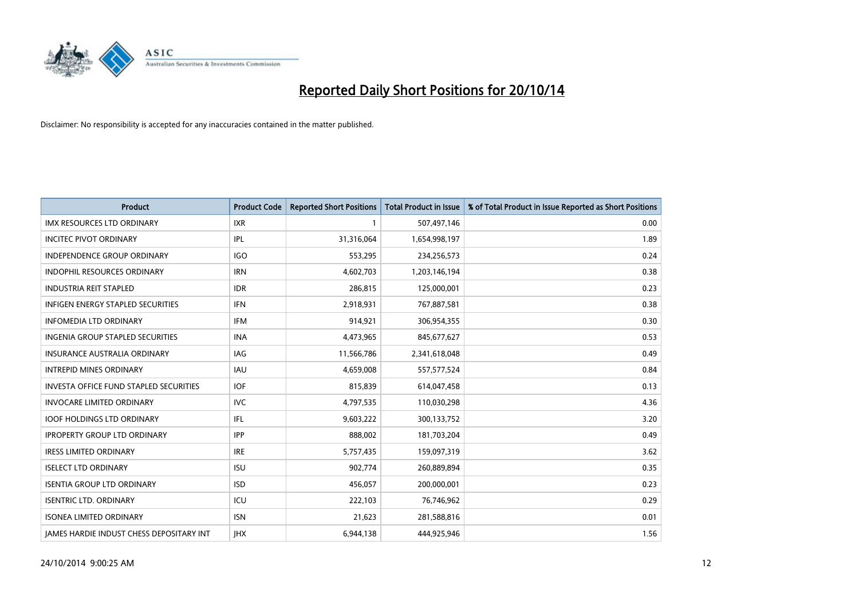

| <b>Product</b>                                  | <b>Product Code</b> | <b>Reported Short Positions</b> | <b>Total Product in Issue</b> | % of Total Product in Issue Reported as Short Positions |
|-------------------------------------------------|---------------------|---------------------------------|-------------------------------|---------------------------------------------------------|
| IMX RESOURCES LTD ORDINARY                      | <b>IXR</b>          |                                 | 507,497,146                   | 0.00                                                    |
| INCITEC PIVOT ORDINARY                          | IPL                 | 31,316,064                      | 1,654,998,197                 | 1.89                                                    |
| <b>INDEPENDENCE GROUP ORDINARY</b>              | <b>IGO</b>          | 553,295                         | 234,256,573                   | 0.24                                                    |
| INDOPHIL RESOURCES ORDINARY                     | <b>IRN</b>          | 4,602,703                       | 1,203,146,194                 | 0.38                                                    |
| <b>INDUSTRIA REIT STAPLED</b>                   | <b>IDR</b>          | 286,815                         | 125,000,001                   | 0.23                                                    |
| <b>INFIGEN ENERGY STAPLED SECURITIES</b>        | <b>IFN</b>          | 2,918,931                       | 767,887,581                   | 0.38                                                    |
| <b>INFOMEDIA LTD ORDINARY</b>                   | <b>IFM</b>          | 914,921                         | 306,954,355                   | 0.30                                                    |
| INGENIA GROUP STAPLED SECURITIES                | <b>INA</b>          | 4,473,965                       | 845,677,627                   | 0.53                                                    |
| <b>INSURANCE AUSTRALIA ORDINARY</b>             | IAG                 | 11,566,786                      | 2,341,618,048                 | 0.49                                                    |
| <b>INTREPID MINES ORDINARY</b>                  | <b>IAU</b>          | 4,659,008                       | 557,577,524                   | 0.84                                                    |
| <b>INVESTA OFFICE FUND STAPLED SECURITIES</b>   | <b>IOF</b>          | 815,839                         | 614,047,458                   | 0.13                                                    |
| <b>INVOCARE LIMITED ORDINARY</b>                | <b>IVC</b>          | 4,797,535                       | 110,030,298                   | 4.36                                                    |
| <b>IOOF HOLDINGS LTD ORDINARY</b>               | IFL                 | 9,603,222                       | 300,133,752                   | 3.20                                                    |
| <b>IPROPERTY GROUP LTD ORDINARY</b>             | <b>IPP</b>          | 888,002                         | 181,703,204                   | 0.49                                                    |
| <b>IRESS LIMITED ORDINARY</b>                   | <b>IRE</b>          | 5,757,435                       | 159,097,319                   | 3.62                                                    |
| <b>ISELECT LTD ORDINARY</b>                     | <b>ISU</b>          | 902,774                         | 260,889,894                   | 0.35                                                    |
| <b>ISENTIA GROUP LTD ORDINARY</b>               | <b>ISD</b>          | 456,057                         | 200,000,001                   | 0.23                                                    |
| <b>ISENTRIC LTD. ORDINARY</b>                   | ICU                 | 222,103                         | 76,746,962                    | 0.29                                                    |
| <b>ISONEA LIMITED ORDINARY</b>                  | <b>ISN</b>          | 21,623                          | 281,588,816                   | 0.01                                                    |
| <b>IAMES HARDIE INDUST CHESS DEPOSITARY INT</b> | <b>IHX</b>          | 6,944,138                       | 444,925,946                   | 1.56                                                    |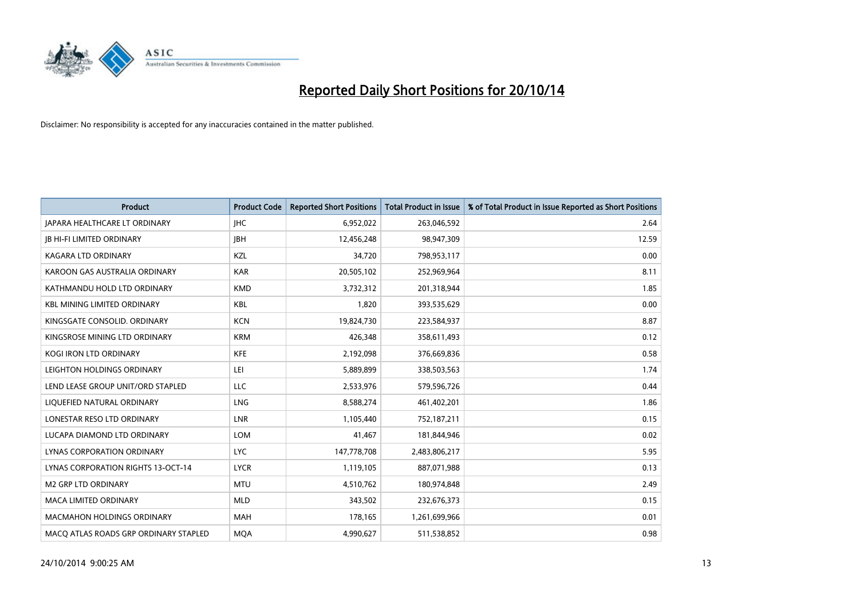

| <b>Product</b>                        | <b>Product Code</b> | <b>Reported Short Positions</b> | <b>Total Product in Issue</b> | % of Total Product in Issue Reported as Short Positions |
|---------------------------------------|---------------------|---------------------------------|-------------------------------|---------------------------------------------------------|
| <b>JAPARA HEALTHCARE LT ORDINARY</b>  | <b>IHC</b>          | 6,952,022                       | 263,046,592                   | 2.64                                                    |
| <b>JB HI-FI LIMITED ORDINARY</b>      | <b>IBH</b>          | 12,456,248                      | 98,947,309                    | 12.59                                                   |
| <b>KAGARA LTD ORDINARY</b>            | KZL                 | 34,720                          | 798,953,117                   | 0.00                                                    |
| KAROON GAS AUSTRALIA ORDINARY         | <b>KAR</b>          | 20,505,102                      | 252,969,964                   | 8.11                                                    |
| KATHMANDU HOLD LTD ORDINARY           | <b>KMD</b>          | 3,732,312                       | 201,318,944                   | 1.85                                                    |
| <b>KBL MINING LIMITED ORDINARY</b>    | <b>KBL</b>          | 1,820                           | 393,535,629                   | 0.00                                                    |
| KINGSGATE CONSOLID, ORDINARY          | <b>KCN</b>          | 19,824,730                      | 223,584,937                   | 8.87                                                    |
| KINGSROSE MINING LTD ORDINARY         | <b>KRM</b>          | 426,348                         | 358,611,493                   | 0.12                                                    |
| KOGI IRON LTD ORDINARY                | KFE                 | 2,192,098                       | 376,669,836                   | 0.58                                                    |
| LEIGHTON HOLDINGS ORDINARY            | LEI                 | 5,889,899                       | 338,503,563                   | 1.74                                                    |
| LEND LEASE GROUP UNIT/ORD STAPLED     | <b>LLC</b>          | 2,533,976                       | 579,596,726                   | 0.44                                                    |
| LIQUEFIED NATURAL ORDINARY            | <b>LNG</b>          | 8,588,274                       | 461,402,201                   | 1.86                                                    |
| LONESTAR RESO LTD ORDINARY            | <b>LNR</b>          | 1,105,440                       | 752,187,211                   | 0.15                                                    |
| LUCAPA DIAMOND LTD ORDINARY           | <b>LOM</b>          | 41,467                          | 181,844,946                   | 0.02                                                    |
| LYNAS CORPORATION ORDINARY            | <b>LYC</b>          | 147,778,708                     | 2,483,806,217                 | 5.95                                                    |
| LYNAS CORPORATION RIGHTS 13-OCT-14    | <b>LYCR</b>         | 1,119,105                       | 887,071,988                   | 0.13                                                    |
| <b>M2 GRP LTD ORDINARY</b>            | <b>MTU</b>          | 4,510,762                       | 180,974,848                   | 2.49                                                    |
| <b>MACA LIMITED ORDINARY</b>          | <b>MLD</b>          | 343,502                         | 232,676,373                   | 0.15                                                    |
| <b>MACMAHON HOLDINGS ORDINARY</b>     | <b>MAH</b>          | 178,165                         | 1,261,699,966                 | 0.01                                                    |
| MACO ATLAS ROADS GRP ORDINARY STAPLED | <b>MQA</b>          | 4,990,627                       | 511,538,852                   | 0.98                                                    |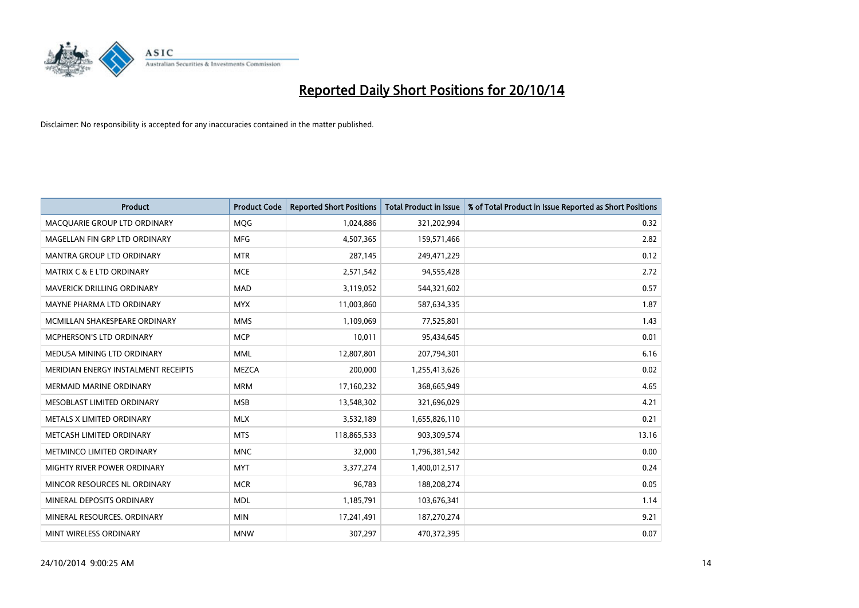

| <b>Product</b>                       | <b>Product Code</b> | <b>Reported Short Positions</b> | <b>Total Product in Issue</b> | % of Total Product in Issue Reported as Short Positions |
|--------------------------------------|---------------------|---------------------------------|-------------------------------|---------------------------------------------------------|
| MACQUARIE GROUP LTD ORDINARY         | MQG                 | 1,024,886                       | 321,202,994                   | 0.32                                                    |
| MAGELLAN FIN GRP LTD ORDINARY        | <b>MFG</b>          | 4,507,365                       | 159,571,466                   | 2.82                                                    |
| <b>MANTRA GROUP LTD ORDINARY</b>     | <b>MTR</b>          | 287,145                         | 249,471,229                   | 0.12                                                    |
| <b>MATRIX C &amp; E LTD ORDINARY</b> | <b>MCE</b>          | 2,571,542                       | 94,555,428                    | 2.72                                                    |
| MAVERICK DRILLING ORDINARY           | <b>MAD</b>          | 3,119,052                       | 544,321,602                   | 0.57                                                    |
| MAYNE PHARMA LTD ORDINARY            | <b>MYX</b>          | 11,003,860                      | 587,634,335                   | 1.87                                                    |
| MCMILLAN SHAKESPEARE ORDINARY        | <b>MMS</b>          | 1,109,069                       | 77,525,801                    | 1.43                                                    |
| MCPHERSON'S LTD ORDINARY             | <b>MCP</b>          | 10,011                          | 95,434,645                    | 0.01                                                    |
| MEDUSA MINING LTD ORDINARY           | <b>MML</b>          | 12,807,801                      | 207,794,301                   | 6.16                                                    |
| MERIDIAN ENERGY INSTALMENT RECEIPTS  | <b>MEZCA</b>        | 200,000                         | 1,255,413,626                 | 0.02                                                    |
| MERMAID MARINE ORDINARY              | <b>MRM</b>          | 17,160,232                      | 368,665,949                   | 4.65                                                    |
| MESOBLAST LIMITED ORDINARY           | <b>MSB</b>          | 13,548,302                      | 321,696,029                   | 4.21                                                    |
| METALS X LIMITED ORDINARY            | <b>MLX</b>          | 3,532,189                       | 1,655,826,110                 | 0.21                                                    |
| METCASH LIMITED ORDINARY             | <b>MTS</b>          | 118,865,533                     | 903,309,574                   | 13.16                                                   |
| METMINCO LIMITED ORDINARY            | <b>MNC</b>          | 32,000                          | 1,796,381,542                 | 0.00                                                    |
| MIGHTY RIVER POWER ORDINARY          | <b>MYT</b>          | 3,377,274                       | 1,400,012,517                 | 0.24                                                    |
| MINCOR RESOURCES NL ORDINARY         | <b>MCR</b>          | 96,783                          | 188,208,274                   | 0.05                                                    |
| MINERAL DEPOSITS ORDINARY            | <b>MDL</b>          | 1,185,791                       | 103,676,341                   | 1.14                                                    |
| MINERAL RESOURCES, ORDINARY          | <b>MIN</b>          | 17,241,491                      | 187,270,274                   | 9.21                                                    |
| MINT WIRELESS ORDINARY               | <b>MNW</b>          | 307,297                         | 470,372,395                   | 0.07                                                    |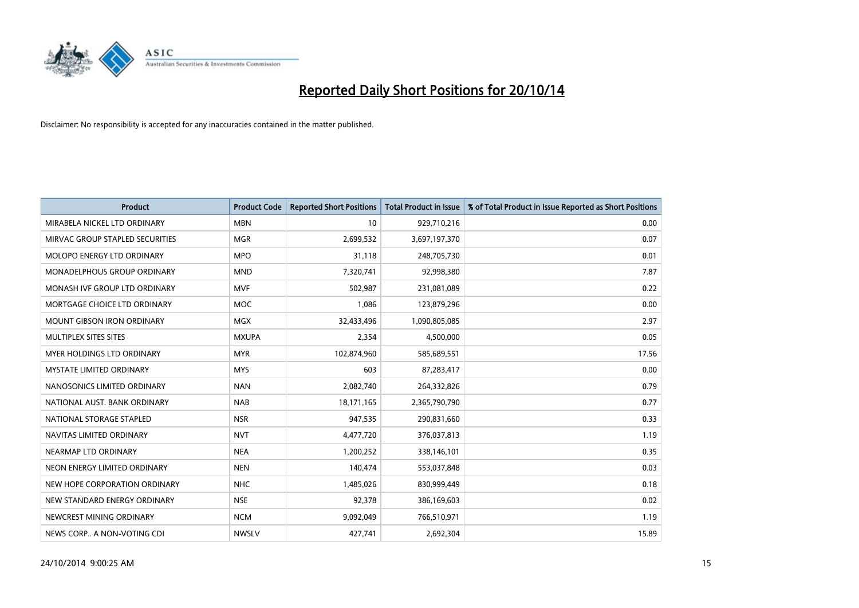

| Product                           | <b>Product Code</b> | <b>Reported Short Positions</b> | <b>Total Product in Issue</b> | % of Total Product in Issue Reported as Short Positions |
|-----------------------------------|---------------------|---------------------------------|-------------------------------|---------------------------------------------------------|
| MIRABELA NICKEL LTD ORDINARY      | <b>MBN</b>          | 10                              | 929,710,216                   | 0.00                                                    |
| MIRVAC GROUP STAPLED SECURITIES   | <b>MGR</b>          | 2,699,532                       | 3,697,197,370                 | 0.07                                                    |
| <b>MOLOPO ENERGY LTD ORDINARY</b> | <b>MPO</b>          | 31,118                          | 248,705,730                   | 0.01                                                    |
| MONADELPHOUS GROUP ORDINARY       | <b>MND</b>          | 7,320,741                       | 92,998,380                    | 7.87                                                    |
| MONASH IVF GROUP LTD ORDINARY     | <b>MVF</b>          | 502,987                         | 231,081,089                   | 0.22                                                    |
| MORTGAGE CHOICE LTD ORDINARY      | <b>MOC</b>          | 1,086                           | 123,879,296                   | 0.00                                                    |
| <b>MOUNT GIBSON IRON ORDINARY</b> | <b>MGX</b>          | 32,433,496                      | 1,090,805,085                 | 2.97                                                    |
| MULTIPLEX SITES SITES             | <b>MXUPA</b>        | 2,354                           | 4,500,000                     | 0.05                                                    |
| <b>MYER HOLDINGS LTD ORDINARY</b> | <b>MYR</b>          | 102,874,960                     | 585,689,551                   | 17.56                                                   |
| <b>MYSTATE LIMITED ORDINARY</b>   | <b>MYS</b>          | 603                             | 87,283,417                    | 0.00                                                    |
| NANOSONICS LIMITED ORDINARY       | <b>NAN</b>          | 2,082,740                       | 264,332,826                   | 0.79                                                    |
| NATIONAL AUST. BANK ORDINARY      | <b>NAB</b>          | 18,171,165                      | 2,365,790,790                 | 0.77                                                    |
| NATIONAL STORAGE STAPLED          | <b>NSR</b>          | 947,535                         | 290,831,660                   | 0.33                                                    |
| NAVITAS LIMITED ORDINARY          | <b>NVT</b>          | 4,477,720                       | 376,037,813                   | 1.19                                                    |
| NEARMAP LTD ORDINARY              | <b>NEA</b>          | 1,200,252                       | 338,146,101                   | 0.35                                                    |
| NEON ENERGY LIMITED ORDINARY      | <b>NEN</b>          | 140,474                         | 553,037,848                   | 0.03                                                    |
| NEW HOPE CORPORATION ORDINARY     | <b>NHC</b>          | 1,485,026                       | 830,999,449                   | 0.18                                                    |
| NEW STANDARD ENERGY ORDINARY      | <b>NSE</b>          | 92,378                          | 386,169,603                   | 0.02                                                    |
| NEWCREST MINING ORDINARY          | <b>NCM</b>          | 9,092,049                       | 766,510,971                   | 1.19                                                    |
| NEWS CORP A NON-VOTING CDI        | <b>NWSLV</b>        | 427,741                         | 2,692,304                     | 15.89                                                   |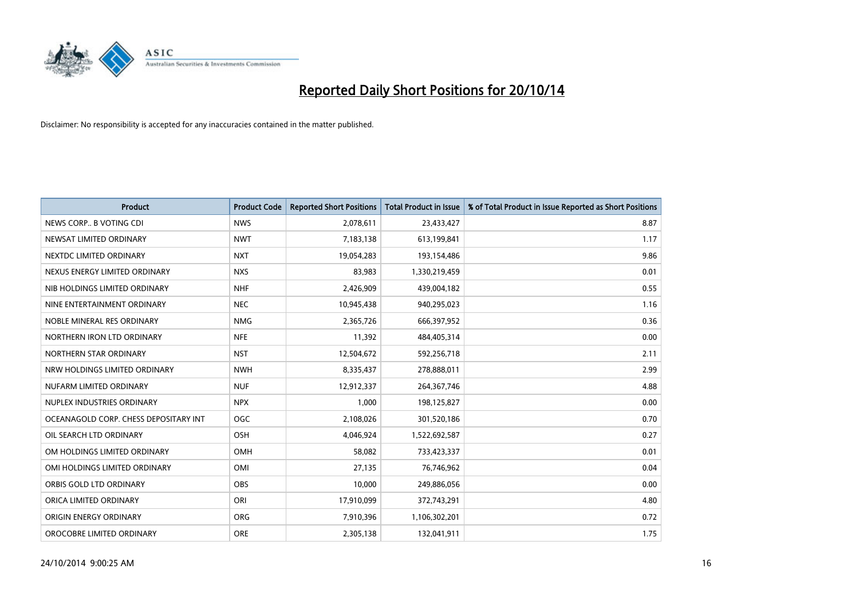

| <b>Product</b>                        | <b>Product Code</b> | <b>Reported Short Positions</b> | <b>Total Product in Issue</b> | % of Total Product in Issue Reported as Short Positions |
|---------------------------------------|---------------------|---------------------------------|-------------------------------|---------------------------------------------------------|
| NEWS CORP B VOTING CDI                | <b>NWS</b>          | 2,078,611                       | 23,433,427                    | 8.87                                                    |
| NEWSAT LIMITED ORDINARY               | <b>NWT</b>          | 7,183,138                       | 613,199,841                   | 1.17                                                    |
| NEXTDC LIMITED ORDINARY               | <b>NXT</b>          | 19,054,283                      | 193,154,486                   | 9.86                                                    |
| NEXUS ENERGY LIMITED ORDINARY         | <b>NXS</b>          | 83,983                          | 1,330,219,459                 | 0.01                                                    |
| NIB HOLDINGS LIMITED ORDINARY         | <b>NHF</b>          | 2,426,909                       | 439,004,182                   | 0.55                                                    |
| NINE ENTERTAINMENT ORDINARY           | <b>NEC</b>          | 10,945,438                      | 940,295,023                   | 1.16                                                    |
| NOBLE MINERAL RES ORDINARY            | <b>NMG</b>          | 2,365,726                       | 666,397,952                   | 0.36                                                    |
| NORTHERN IRON LTD ORDINARY            | <b>NFE</b>          | 11,392                          | 484,405,314                   | 0.00                                                    |
| NORTHERN STAR ORDINARY                | <b>NST</b>          | 12,504,672                      | 592,256,718                   | 2.11                                                    |
| NRW HOLDINGS LIMITED ORDINARY         | <b>NWH</b>          | 8,335,437                       | 278,888,011                   | 2.99                                                    |
| NUFARM LIMITED ORDINARY               | <b>NUF</b>          | 12,912,337                      | 264,367,746                   | 4.88                                                    |
| NUPLEX INDUSTRIES ORDINARY            | <b>NPX</b>          | 1,000                           | 198,125,827                   | 0.00                                                    |
| OCEANAGOLD CORP. CHESS DEPOSITARY INT | <b>OGC</b>          | 2,108,026                       | 301,520,186                   | 0.70                                                    |
| OIL SEARCH LTD ORDINARY               | OSH                 | 4,046,924                       | 1,522,692,587                 | 0.27                                                    |
| OM HOLDINGS LIMITED ORDINARY          | OMH                 | 58,082                          | 733,423,337                   | 0.01                                                    |
| OMI HOLDINGS LIMITED ORDINARY         | <b>OMI</b>          | 27,135                          | 76,746,962                    | 0.04                                                    |
| ORBIS GOLD LTD ORDINARY               | OBS                 | 10,000                          | 249,886,056                   | 0.00                                                    |
| ORICA LIMITED ORDINARY                | ORI                 | 17,910,099                      | 372,743,291                   | 4.80                                                    |
| ORIGIN ENERGY ORDINARY                | <b>ORG</b>          | 7,910,396                       | 1,106,302,201                 | 0.72                                                    |
| OROCOBRE LIMITED ORDINARY             | <b>ORE</b>          | 2,305,138                       | 132,041,911                   | 1.75                                                    |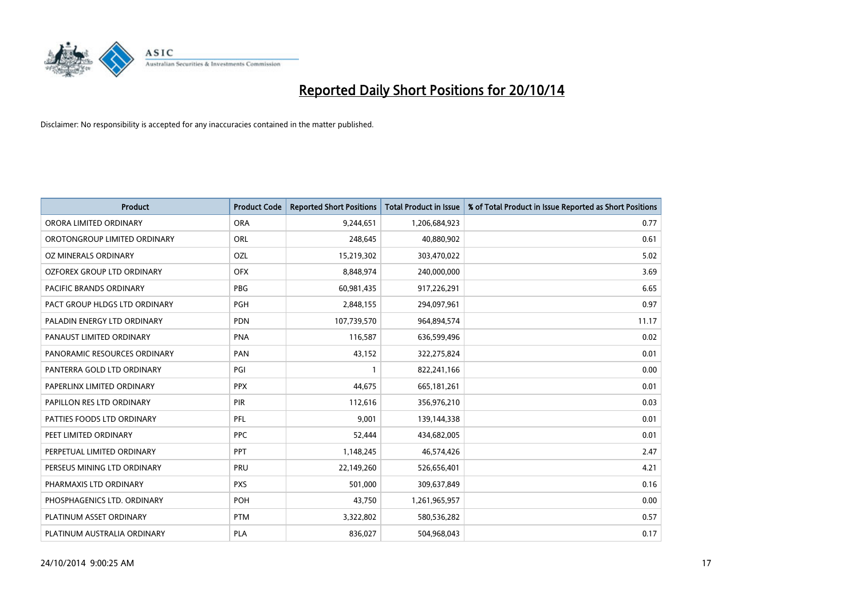

| <b>Product</b>                 | <b>Product Code</b> | <b>Reported Short Positions</b> | <b>Total Product in Issue</b> | % of Total Product in Issue Reported as Short Positions |
|--------------------------------|---------------------|---------------------------------|-------------------------------|---------------------------------------------------------|
| ORORA LIMITED ORDINARY         | <b>ORA</b>          | 9,244,651                       | 1,206,684,923                 | 0.77                                                    |
| OROTONGROUP LIMITED ORDINARY   | ORL                 | 248,645                         | 40,880,902                    | 0.61                                                    |
| OZ MINERALS ORDINARY           | OZL                 | 15,219,302                      | 303,470,022                   | 5.02                                                    |
| OZFOREX GROUP LTD ORDINARY     | <b>OFX</b>          | 8,848,974                       | 240,000,000                   | 3.69                                                    |
| <b>PACIFIC BRANDS ORDINARY</b> | PBG                 | 60,981,435                      | 917,226,291                   | 6.65                                                    |
| PACT GROUP HLDGS LTD ORDINARY  | PGH                 | 2,848,155                       | 294,097,961                   | 0.97                                                    |
| PALADIN ENERGY LTD ORDINARY    | <b>PDN</b>          | 107,739,570                     | 964,894,574                   | 11.17                                                   |
| PANAUST LIMITED ORDINARY       | <b>PNA</b>          | 116,587                         | 636,599,496                   | 0.02                                                    |
| PANORAMIC RESOURCES ORDINARY   | PAN                 | 43,152                          | 322,275,824                   | 0.01                                                    |
| PANTERRA GOLD LTD ORDINARY     | PGI                 | $\mathbf{1}$                    | 822,241,166                   | 0.00                                                    |
| PAPERLINX LIMITED ORDINARY     | <b>PPX</b>          | 44,675                          | 665, 181, 261                 | 0.01                                                    |
| PAPILLON RES LTD ORDINARY      | <b>PIR</b>          | 112,616                         | 356,976,210                   | 0.03                                                    |
| PATTIES FOODS LTD ORDINARY     | PFL                 | 9,001                           | 139,144,338                   | 0.01                                                    |
| PEET LIMITED ORDINARY          | <b>PPC</b>          | 52,444                          | 434,682,005                   | 0.01                                                    |
| PERPETUAL LIMITED ORDINARY     | <b>PPT</b>          | 1,148,245                       | 46,574,426                    | 2.47                                                    |
| PERSEUS MINING LTD ORDINARY    | PRU                 | 22,149,260                      | 526,656,401                   | 4.21                                                    |
| PHARMAXIS LTD ORDINARY         | <b>PXS</b>          | 501,000                         | 309,637,849                   | 0.16                                                    |
| PHOSPHAGENICS LTD. ORDINARY    | POH                 | 43,750                          | 1,261,965,957                 | 0.00                                                    |
| PLATINUM ASSET ORDINARY        | <b>PTM</b>          | 3,322,802                       | 580,536,282                   | 0.57                                                    |
| PLATINUM AUSTRALIA ORDINARY    | PLA                 | 836,027                         | 504,968,043                   | 0.17                                                    |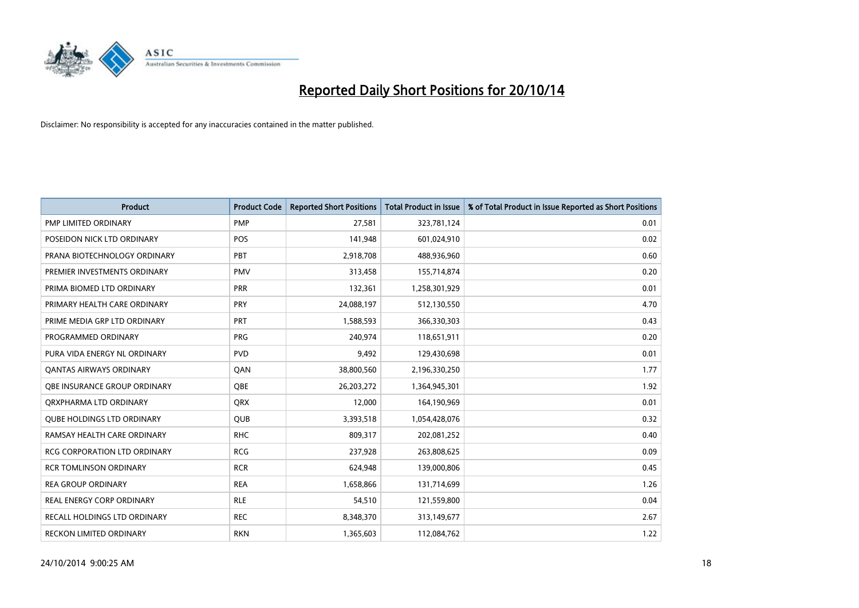

| <b>Product</b>                      | <b>Product Code</b> | <b>Reported Short Positions</b> | <b>Total Product in Issue</b> | % of Total Product in Issue Reported as Short Positions |
|-------------------------------------|---------------------|---------------------------------|-------------------------------|---------------------------------------------------------|
| PMP LIMITED ORDINARY                | <b>PMP</b>          | 27,581                          | 323,781,124                   | 0.01                                                    |
| POSEIDON NICK LTD ORDINARY          | <b>POS</b>          | 141,948                         | 601,024,910                   | 0.02                                                    |
| PRANA BIOTECHNOLOGY ORDINARY        | PBT                 | 2,918,708                       | 488,936,960                   | 0.60                                                    |
| PREMIER INVESTMENTS ORDINARY        | <b>PMV</b>          | 313,458                         | 155,714,874                   | 0.20                                                    |
| PRIMA BIOMED LTD ORDINARY           | <b>PRR</b>          | 132,361                         | 1,258,301,929                 | 0.01                                                    |
| PRIMARY HEALTH CARE ORDINARY        | PRY                 | 24,088,197                      | 512,130,550                   | 4.70                                                    |
| PRIME MEDIA GRP LTD ORDINARY        | <b>PRT</b>          | 1,588,593                       | 366,330,303                   | 0.43                                                    |
| PROGRAMMED ORDINARY                 | <b>PRG</b>          | 240,974                         | 118,651,911                   | 0.20                                                    |
| PURA VIDA ENERGY NL ORDINARY        | <b>PVD</b>          | 9,492                           | 129,430,698                   | 0.01                                                    |
| <b>QANTAS AIRWAYS ORDINARY</b>      | QAN                 | 38,800,560                      | 2,196,330,250                 | 1.77                                                    |
| OBE INSURANCE GROUP ORDINARY        | <b>OBE</b>          | 26,203,272                      | 1,364,945,301                 | 1.92                                                    |
| QRXPHARMA LTD ORDINARY              | QRX                 | 12,000                          | 164,190,969                   | 0.01                                                    |
| <b>QUBE HOLDINGS LTD ORDINARY</b>   | <b>QUB</b>          | 3,393,518                       | 1,054,428,076                 | 0.32                                                    |
| RAMSAY HEALTH CARE ORDINARY         | <b>RHC</b>          | 809,317                         | 202,081,252                   | 0.40                                                    |
| <b>RCG CORPORATION LTD ORDINARY</b> | <b>RCG</b>          | 237,928                         | 263,808,625                   | 0.09                                                    |
| <b>RCR TOMLINSON ORDINARY</b>       | <b>RCR</b>          | 624,948                         | 139,000,806                   | 0.45                                                    |
| <b>REA GROUP ORDINARY</b>           | <b>REA</b>          | 1,658,866                       | 131,714,699                   | 1.26                                                    |
| <b>REAL ENERGY CORP ORDINARY</b>    | <b>RLE</b>          | 54,510                          | 121,559,800                   | 0.04                                                    |
| <b>RECALL HOLDINGS LTD ORDINARY</b> | <b>REC</b>          | 8,348,370                       | 313,149,677                   | 2.67                                                    |
| <b>RECKON LIMITED ORDINARY</b>      | <b>RKN</b>          | 1,365,603                       | 112,084,762                   | 1.22                                                    |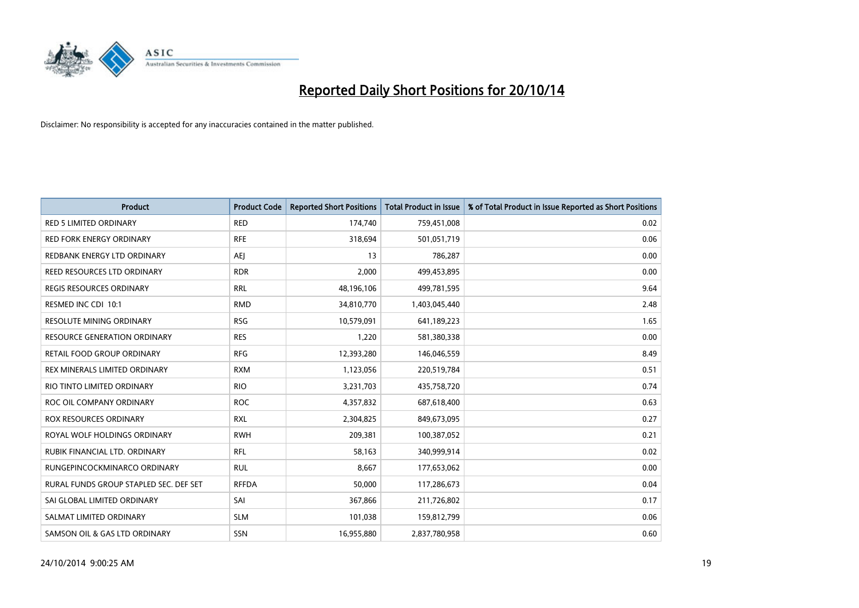

| Product                                | <b>Product Code</b> | <b>Reported Short Positions</b> | <b>Total Product in Issue</b> | % of Total Product in Issue Reported as Short Positions |
|----------------------------------------|---------------------|---------------------------------|-------------------------------|---------------------------------------------------------|
| <b>RED 5 LIMITED ORDINARY</b>          | <b>RED</b>          | 174,740                         | 759,451,008                   | 0.02                                                    |
| RED FORK ENERGY ORDINARY               | <b>RFE</b>          | 318,694                         | 501,051,719                   | 0.06                                                    |
| REDBANK ENERGY LTD ORDINARY            | AEJ                 | 13                              | 786,287                       | 0.00                                                    |
| REED RESOURCES LTD ORDINARY            | <b>RDR</b>          | 2,000                           | 499,453,895                   | 0.00                                                    |
| <b>REGIS RESOURCES ORDINARY</b>        | <b>RRL</b>          | 48,196,106                      | 499,781,595                   | 9.64                                                    |
| RESMED INC CDI 10:1                    | <b>RMD</b>          | 34,810,770                      | 1,403,045,440                 | 2.48                                                    |
| <b>RESOLUTE MINING ORDINARY</b>        | <b>RSG</b>          | 10,579,091                      | 641,189,223                   | 1.65                                                    |
| RESOURCE GENERATION ORDINARY           | <b>RES</b>          | 1,220                           | 581,380,338                   | 0.00                                                    |
| RETAIL FOOD GROUP ORDINARY             | <b>RFG</b>          | 12,393,280                      | 146,046,559                   | 8.49                                                    |
| REX MINERALS LIMITED ORDINARY          | <b>RXM</b>          | 1,123,056                       | 220,519,784                   | 0.51                                                    |
| RIO TINTO LIMITED ORDINARY             | <b>RIO</b>          | 3,231,703                       | 435,758,720                   | 0.74                                                    |
| ROC OIL COMPANY ORDINARY               | <b>ROC</b>          | 4,357,832                       | 687,618,400                   | 0.63                                                    |
| ROX RESOURCES ORDINARY                 | <b>RXL</b>          | 2,304,825                       | 849,673,095                   | 0.27                                                    |
| ROYAL WOLF HOLDINGS ORDINARY           | <b>RWH</b>          | 209,381                         | 100,387,052                   | 0.21                                                    |
| RUBIK FINANCIAL LTD. ORDINARY          | <b>RFL</b>          | 58,163                          | 340,999,914                   | 0.02                                                    |
| RUNGEPINCOCKMINARCO ORDINARY           | <b>RUL</b>          | 8,667                           | 177,653,062                   | 0.00                                                    |
| RURAL FUNDS GROUP STAPLED SEC. DEF SET | <b>RFFDA</b>        | 50,000                          | 117,286,673                   | 0.04                                                    |
| SAI GLOBAL LIMITED ORDINARY            | SAI                 | 367,866                         | 211,726,802                   | 0.17                                                    |
| SALMAT LIMITED ORDINARY                | <b>SLM</b>          | 101,038                         | 159,812,799                   | 0.06                                                    |
| SAMSON OIL & GAS LTD ORDINARY          | <b>SSN</b>          | 16,955,880                      | 2,837,780,958                 | 0.60                                                    |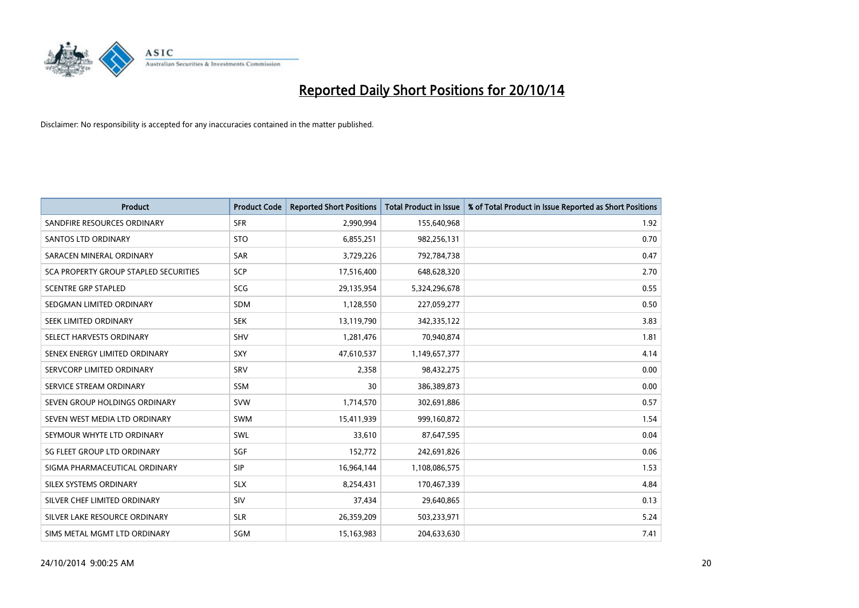

| <b>Product</b>                        | <b>Product Code</b> | <b>Reported Short Positions</b> | <b>Total Product in Issue</b> | % of Total Product in Issue Reported as Short Positions |
|---------------------------------------|---------------------|---------------------------------|-------------------------------|---------------------------------------------------------|
| SANDFIRE RESOURCES ORDINARY           | <b>SFR</b>          | 2,990,994                       | 155,640,968                   | 1.92                                                    |
| <b>SANTOS LTD ORDINARY</b>            | <b>STO</b>          | 6,855,251                       | 982,256,131                   | 0.70                                                    |
| SARACEN MINERAL ORDINARY              | SAR                 | 3,729,226                       | 792,784,738                   | 0.47                                                    |
| SCA PROPERTY GROUP STAPLED SECURITIES | <b>SCP</b>          | 17,516,400                      | 648,628,320                   | 2.70                                                    |
| <b>SCENTRE GRP STAPLED</b>            | SCG                 | 29,135,954                      | 5,324,296,678                 | 0.55                                                    |
| SEDGMAN LIMITED ORDINARY              | SDM                 | 1,128,550                       | 227,059,277                   | 0.50                                                    |
| SEEK LIMITED ORDINARY                 | <b>SEK</b>          | 13,119,790                      | 342,335,122                   | 3.83                                                    |
| SELECT HARVESTS ORDINARY              | SHV                 | 1,281,476                       | 70,940,874                    | 1.81                                                    |
| SENEX ENERGY LIMITED ORDINARY         | <b>SXY</b>          | 47,610,537                      | 1,149,657,377                 | 4.14                                                    |
| SERVCORP LIMITED ORDINARY             | SRV                 | 2,358                           | 98,432,275                    | 0.00                                                    |
| SERVICE STREAM ORDINARY               | <b>SSM</b>          | 30                              | 386,389,873                   | 0.00                                                    |
| SEVEN GROUP HOLDINGS ORDINARY         | <b>SVW</b>          | 1,714,570                       | 302,691,886                   | 0.57                                                    |
| SEVEN WEST MEDIA LTD ORDINARY         | <b>SWM</b>          | 15,411,939                      | 999,160,872                   | 1.54                                                    |
| SEYMOUR WHYTE LTD ORDINARY            | SWL                 | 33,610                          | 87,647,595                    | 0.04                                                    |
| SG FLEET GROUP LTD ORDINARY           | SGF                 | 152,772                         | 242,691,826                   | 0.06                                                    |
| SIGMA PHARMACEUTICAL ORDINARY         | <b>SIP</b>          | 16,964,144                      | 1,108,086,575                 | 1.53                                                    |
| SILEX SYSTEMS ORDINARY                | <b>SLX</b>          | 8,254,431                       | 170,467,339                   | 4.84                                                    |
| SILVER CHEF LIMITED ORDINARY          | SIV                 | 37,434                          | 29,640,865                    | 0.13                                                    |
| SILVER LAKE RESOURCE ORDINARY         | <b>SLR</b>          | 26,359,209                      | 503,233,971                   | 5.24                                                    |
| SIMS METAL MGMT LTD ORDINARY          | SGM                 | 15,163,983                      | 204,633,630                   | 7.41                                                    |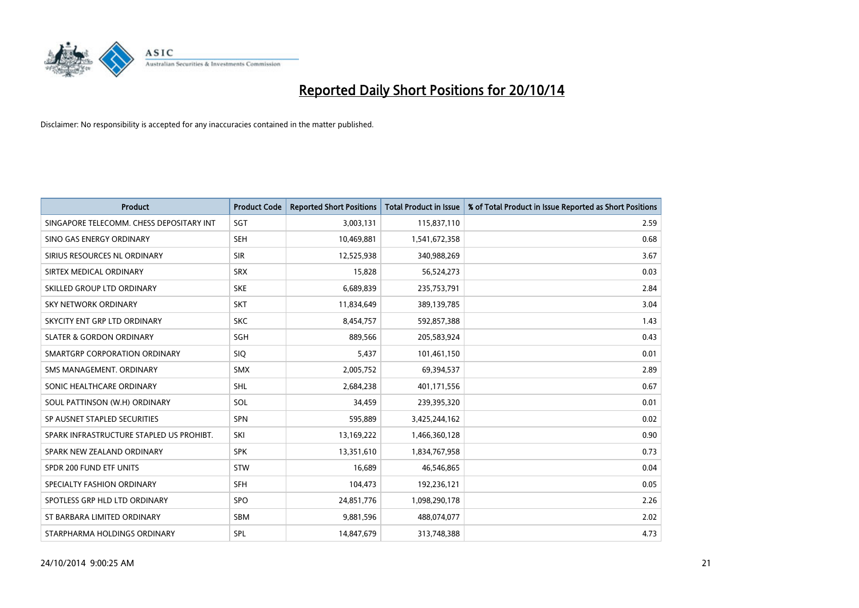

| <b>Product</b>                           | <b>Product Code</b> | <b>Reported Short Positions</b> | <b>Total Product in Issue</b> | % of Total Product in Issue Reported as Short Positions |
|------------------------------------------|---------------------|---------------------------------|-------------------------------|---------------------------------------------------------|
| SINGAPORE TELECOMM. CHESS DEPOSITARY INT | SGT                 | 3,003,131                       | 115,837,110                   | 2.59                                                    |
| SINO GAS ENERGY ORDINARY                 | <b>SEH</b>          | 10,469,881                      | 1,541,672,358                 | 0.68                                                    |
| SIRIUS RESOURCES NL ORDINARY             | <b>SIR</b>          | 12,525,938                      | 340,988,269                   | 3.67                                                    |
| SIRTEX MEDICAL ORDINARY                  | <b>SRX</b>          | 15,828                          | 56,524,273                    | 0.03                                                    |
| SKILLED GROUP LTD ORDINARY               | <b>SKE</b>          | 6,689,839                       | 235,753,791                   | 2.84                                                    |
| <b>SKY NETWORK ORDINARY</b>              | <b>SKT</b>          | 11,834,649                      | 389,139,785                   | 3.04                                                    |
| SKYCITY ENT GRP LTD ORDINARY             | <b>SKC</b>          | 8,454,757                       | 592,857,388                   | 1.43                                                    |
| <b>SLATER &amp; GORDON ORDINARY</b>      | SGH                 | 889,566                         | 205,583,924                   | 0.43                                                    |
| SMARTGRP CORPORATION ORDINARY            | <b>SIQ</b>          | 5,437                           | 101,461,150                   | 0.01                                                    |
| SMS MANAGEMENT, ORDINARY                 | <b>SMX</b>          | 2,005,752                       | 69,394,537                    | 2.89                                                    |
| SONIC HEALTHCARE ORDINARY                | <b>SHL</b>          | 2,684,238                       | 401,171,556                   | 0.67                                                    |
| SOUL PATTINSON (W.H) ORDINARY            | SOL                 | 34,459                          | 239,395,320                   | 0.01                                                    |
| SP AUSNET STAPLED SECURITIES             | <b>SPN</b>          | 595,889                         | 3,425,244,162                 | 0.02                                                    |
| SPARK INFRASTRUCTURE STAPLED US PROHIBT. | SKI                 | 13,169,222                      | 1,466,360,128                 | 0.90                                                    |
| SPARK NEW ZEALAND ORDINARY               | <b>SPK</b>          | 13,351,610                      | 1,834,767,958                 | 0.73                                                    |
| SPDR 200 FUND ETF UNITS                  | <b>STW</b>          | 16,689                          | 46,546,865                    | 0.04                                                    |
| SPECIALTY FASHION ORDINARY               | <b>SFH</b>          | 104,473                         | 192,236,121                   | 0.05                                                    |
| SPOTLESS GRP HLD LTD ORDINARY            | <b>SPO</b>          | 24,851,776                      | 1,098,290,178                 | 2.26                                                    |
| ST BARBARA LIMITED ORDINARY              | <b>SBM</b>          | 9,881,596                       | 488,074,077                   | 2.02                                                    |
| STARPHARMA HOLDINGS ORDINARY             | SPL                 | 14,847,679                      | 313,748,388                   | 4.73                                                    |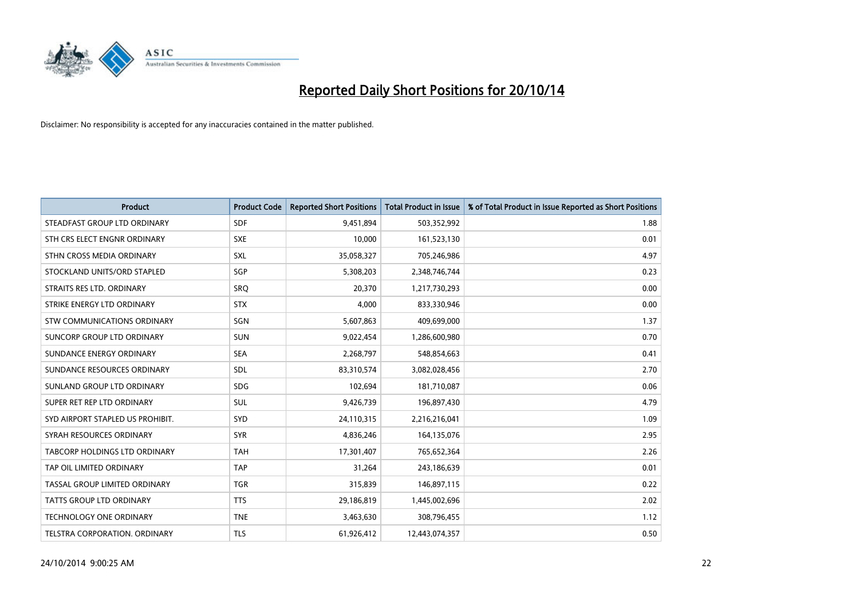

| <b>Product</b>                    | <b>Product Code</b> | <b>Reported Short Positions</b> | <b>Total Product in Issue</b> | % of Total Product in Issue Reported as Short Positions |
|-----------------------------------|---------------------|---------------------------------|-------------------------------|---------------------------------------------------------|
| STEADFAST GROUP LTD ORDINARY      | <b>SDF</b>          | 9,451,894                       | 503,352,992                   | 1.88                                                    |
| STH CRS ELECT ENGNR ORDINARY      | <b>SXE</b>          | 10,000                          | 161,523,130                   | 0.01                                                    |
| STHN CROSS MEDIA ORDINARY         | <b>SXL</b>          | 35,058,327                      | 705,246,986                   | 4.97                                                    |
| STOCKLAND UNITS/ORD STAPLED       | SGP                 | 5,308,203                       | 2,348,746,744                 | 0.23                                                    |
| STRAITS RES LTD. ORDINARY         | SRO                 | 20,370                          | 1,217,730,293                 | 0.00                                                    |
| STRIKE ENERGY LTD ORDINARY        | <b>STX</b>          | 4,000                           | 833,330,946                   | 0.00                                                    |
| STW COMMUNICATIONS ORDINARY       | SGN                 | 5,607,863                       | 409,699,000                   | 1.37                                                    |
| <b>SUNCORP GROUP LTD ORDINARY</b> | <b>SUN</b>          | 9,022,454                       | 1,286,600,980                 | 0.70                                                    |
| SUNDANCE ENERGY ORDINARY          | <b>SEA</b>          | 2,268,797                       | 548,854,663                   | 0.41                                                    |
| SUNDANCE RESOURCES ORDINARY       | SDL                 | 83,310,574                      | 3,082,028,456                 | 2.70                                                    |
| SUNLAND GROUP LTD ORDINARY        | <b>SDG</b>          | 102,694                         | 181,710,087                   | 0.06                                                    |
| SUPER RET REP LTD ORDINARY        | SUL                 | 9,426,739                       | 196,897,430                   | 4.79                                                    |
| SYD AIRPORT STAPLED US PROHIBIT.  | SYD                 | 24,110,315                      | 2,216,216,041                 | 1.09                                                    |
| SYRAH RESOURCES ORDINARY          | <b>SYR</b>          | 4,836,246                       | 164,135,076                   | 2.95                                                    |
| TABCORP HOLDINGS LTD ORDINARY     | <b>TAH</b>          | 17,301,407                      | 765,652,364                   | 2.26                                                    |
| TAP OIL LIMITED ORDINARY          | <b>TAP</b>          | 31,264                          | 243,186,639                   | 0.01                                                    |
| TASSAL GROUP LIMITED ORDINARY     | <b>TGR</b>          | 315,839                         | 146,897,115                   | 0.22                                                    |
| <b>TATTS GROUP LTD ORDINARY</b>   | <b>TTS</b>          | 29,186,819                      | 1,445,002,696                 | 2.02                                                    |
| <b>TECHNOLOGY ONE ORDINARY</b>    | <b>TNE</b>          | 3,463,630                       | 308,796,455                   | 1.12                                                    |
| TELSTRA CORPORATION, ORDINARY     | <b>TLS</b>          | 61,926,412                      | 12,443,074,357                | 0.50                                                    |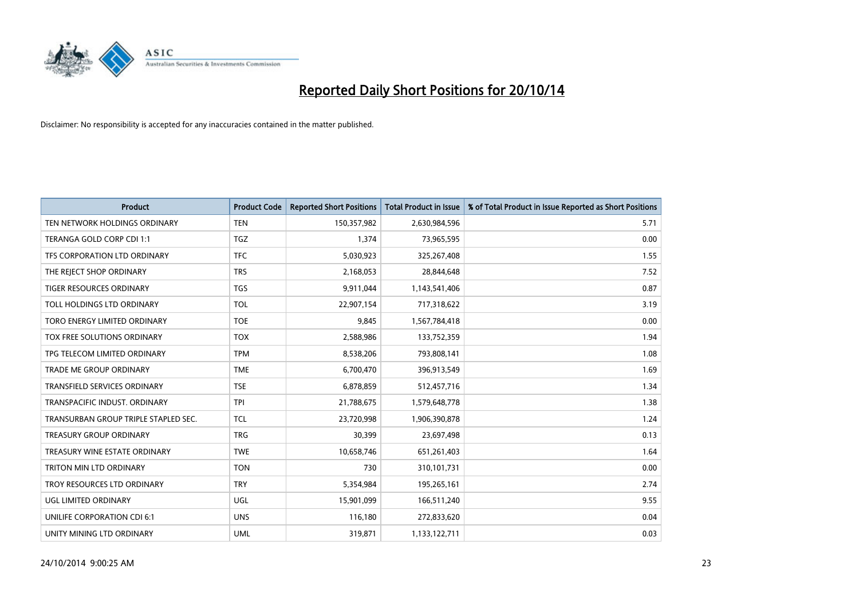

| <b>Product</b>                       | <b>Product Code</b> | <b>Reported Short Positions</b> | <b>Total Product in Issue</b> | % of Total Product in Issue Reported as Short Positions |
|--------------------------------------|---------------------|---------------------------------|-------------------------------|---------------------------------------------------------|
| TEN NETWORK HOLDINGS ORDINARY        | <b>TEN</b>          | 150,357,982                     | 2,630,984,596                 | 5.71                                                    |
| TERANGA GOLD CORP CDI 1:1            | <b>TGZ</b>          | 1,374                           | 73,965,595                    | 0.00                                                    |
| TFS CORPORATION LTD ORDINARY         | <b>TFC</b>          | 5,030,923                       | 325,267,408                   | 1.55                                                    |
| THE REJECT SHOP ORDINARY             | <b>TRS</b>          | 2,168,053                       | 28,844,648                    | 7.52                                                    |
| <b>TIGER RESOURCES ORDINARY</b>      | <b>TGS</b>          | 9,911,044                       | 1,143,541,406                 | 0.87                                                    |
| TOLL HOLDINGS LTD ORDINARY           | <b>TOL</b>          | 22,907,154                      | 717,318,622                   | 3.19                                                    |
| TORO ENERGY LIMITED ORDINARY         | <b>TOE</b>          | 9,845                           | 1,567,784,418                 | 0.00                                                    |
| TOX FREE SOLUTIONS ORDINARY          | <b>TOX</b>          | 2,588,986                       | 133,752,359                   | 1.94                                                    |
| TPG TELECOM LIMITED ORDINARY         | <b>TPM</b>          | 8,538,206                       | 793,808,141                   | 1.08                                                    |
| <b>TRADE ME GROUP ORDINARY</b>       | <b>TME</b>          | 6,700,470                       | 396,913,549                   | 1.69                                                    |
| TRANSFIELD SERVICES ORDINARY         | <b>TSE</b>          | 6,878,859                       | 512,457,716                   | 1.34                                                    |
| TRANSPACIFIC INDUST, ORDINARY        | <b>TPI</b>          | 21,788,675                      | 1,579,648,778                 | 1.38                                                    |
| TRANSURBAN GROUP TRIPLE STAPLED SEC. | <b>TCL</b>          | 23,720,998                      | 1,906,390,878                 | 1.24                                                    |
| <b>TREASURY GROUP ORDINARY</b>       | <b>TRG</b>          | 30,399                          | 23,697,498                    | 0.13                                                    |
| TREASURY WINE ESTATE ORDINARY        | <b>TWE</b>          | 10,658,746                      | 651,261,403                   | 1.64                                                    |
| TRITON MIN LTD ORDINARY              | <b>TON</b>          | 730                             | 310,101,731                   | 0.00                                                    |
| TROY RESOURCES LTD ORDINARY          | <b>TRY</b>          | 5,354,984                       | 195,265,161                   | 2.74                                                    |
| UGL LIMITED ORDINARY                 | UGL                 | 15,901,099                      | 166,511,240                   | 9.55                                                    |
| UNILIFE CORPORATION CDI 6:1          | <b>UNS</b>          | 116,180                         | 272,833,620                   | 0.04                                                    |
| UNITY MINING LTD ORDINARY            | <b>UML</b>          | 319,871                         | 1,133,122,711                 | 0.03                                                    |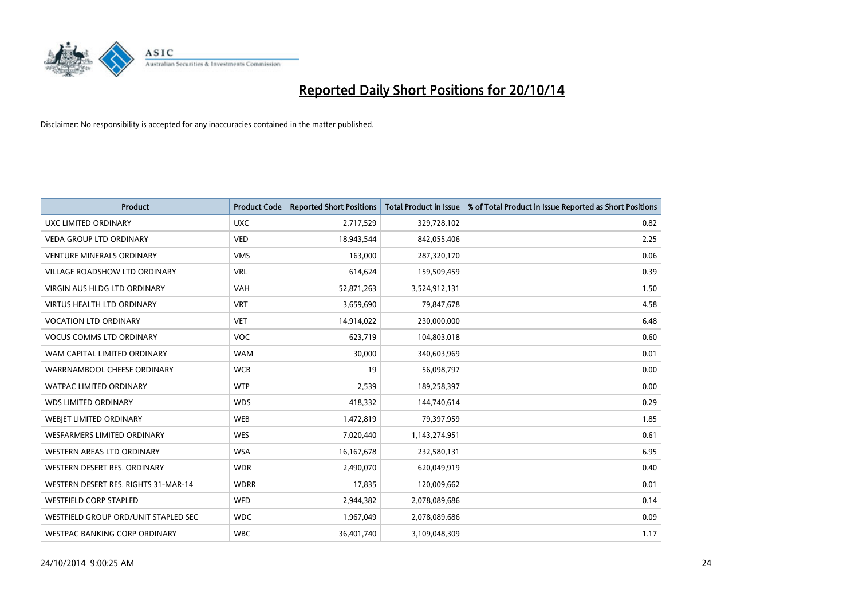

| <b>Product</b>                       | <b>Product Code</b> | <b>Reported Short Positions</b> | <b>Total Product in Issue</b> | % of Total Product in Issue Reported as Short Positions |
|--------------------------------------|---------------------|---------------------------------|-------------------------------|---------------------------------------------------------|
| <b>UXC LIMITED ORDINARY</b>          | <b>UXC</b>          | 2,717,529                       | 329,728,102                   | 0.82                                                    |
| <b>VEDA GROUP LTD ORDINARY</b>       | <b>VED</b>          | 18,943,544                      | 842,055,406                   | 2.25                                                    |
| <b>VENTURE MINERALS ORDINARY</b>     | <b>VMS</b>          | 163,000                         | 287,320,170                   | 0.06                                                    |
| VILLAGE ROADSHOW LTD ORDINARY        | <b>VRL</b>          | 614,624                         | 159,509,459                   | 0.39                                                    |
| <b>VIRGIN AUS HLDG LTD ORDINARY</b>  | <b>VAH</b>          | 52,871,263                      | 3,524,912,131                 | 1.50                                                    |
| <b>VIRTUS HEALTH LTD ORDINARY</b>    | <b>VRT</b>          | 3,659,690                       | 79,847,678                    | 4.58                                                    |
| <b>VOCATION LTD ORDINARY</b>         | <b>VET</b>          | 14,914,022                      | 230,000,000                   | 6.48                                                    |
| <b>VOCUS COMMS LTD ORDINARY</b>      | <b>VOC</b>          | 623,719                         | 104,803,018                   | 0.60                                                    |
| WAM CAPITAL LIMITED ORDINARY         | <b>WAM</b>          | 30.000                          | 340,603,969                   | 0.01                                                    |
| WARRNAMBOOL CHEESE ORDINARY          | <b>WCB</b>          | 19                              | 56,098,797                    | 0.00                                                    |
| WATPAC LIMITED ORDINARY              | <b>WTP</b>          | 2,539                           | 189,258,397                   | 0.00                                                    |
| <b>WDS LIMITED ORDINARY</b>          | <b>WDS</b>          | 418,332                         | 144,740,614                   | 0.29                                                    |
| WEBIET LIMITED ORDINARY              | <b>WEB</b>          | 1,472,819                       | 79,397,959                    | 1.85                                                    |
| <b>WESFARMERS LIMITED ORDINARY</b>   | <b>WES</b>          | 7,020,440                       | 1,143,274,951                 | 0.61                                                    |
| WESTERN AREAS LTD ORDINARY           | <b>WSA</b>          | 16, 167, 678                    | 232,580,131                   | 6.95                                                    |
| WESTERN DESERT RES. ORDINARY         | <b>WDR</b>          | 2,490,070                       | 620,049,919                   | 0.40                                                    |
| WESTERN DESERT RES. RIGHTS 31-MAR-14 | <b>WDRR</b>         | 17,835                          | 120,009,662                   | 0.01                                                    |
| <b>WESTFIELD CORP STAPLED</b>        | <b>WFD</b>          | 2,944,382                       | 2,078,089,686                 | 0.14                                                    |
| WESTFIELD GROUP ORD/UNIT STAPLED SEC | <b>WDC</b>          | 1,967,049                       | 2,078,089,686                 | 0.09                                                    |
| WESTPAC BANKING CORP ORDINARY        | <b>WBC</b>          | 36,401,740                      | 3,109,048,309                 | 1.17                                                    |